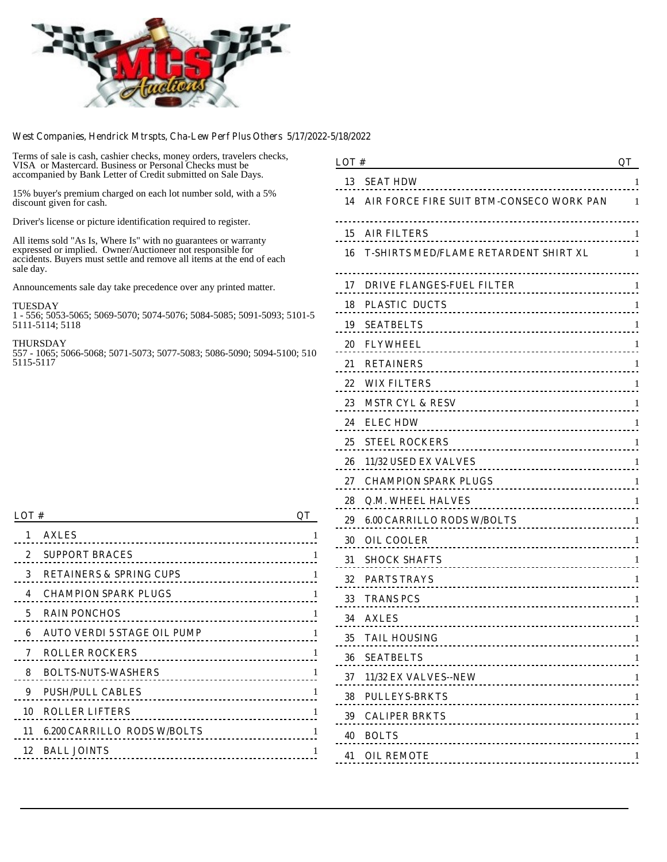

#### **West Companies, Hendrick Mtrspts, Cha-Lew Perf Plus Others 5/17/2022-5/18/2022**

Terms of sale is cash, cashier checks, money orders, travelers checks, VISA or Mastercard. Business or Personal Checks must be accompanied by Bank Letter of Credit submitted on Sale Days.

15% buyer's premium charged on each lot number sold, with a 5% discount given for cash.

Driver's license or picture identification required to register.

All items sold "As Is, Where Is" with no guarantees or warranty expressed or implied. Owner/Auctioneer not responsible for accidents. Buyers must settle and remove all items at the end of each sale day.

Announcements sale day take precedence over any printed matter.

#### TUESDAY

1 - 556; 5053-5065; 5069-5070; 5074-5076; 5084-5085; 5091-5093; 5101-5 5111-5114; 5118

THURSDAY

557 - 1065; 5066-5068; 5071-5073; 5077-5083; 5086-5090; 5094-5100; 510 5115-5117

#### **LOT # QT**

| 1            | <b>AXLES</b>                                                  |    |
|--------------|---------------------------------------------------------------|----|
| $\mathbf{2}$ | <b>SUPPORT BRACES</b><br>----------------------------         | 1  |
| 3            | <b>RETAINERS &amp; SPRING CUPS</b><br>----------------------- | 1  |
| 4            | <b>CHAMPION SPARK PLUGS</b>                                   | 1  |
| 5            | <b>RAIN PONCHOS</b>                                           | 1  |
| 6            | <b>AUTO VERDI 5 STAGE OIL PUMP</b>                            | 1  |
| 7            | <b>ROLLER ROCKERS</b>                                         | -1 |
| 8            | <b>BOLTS-NUTS-WASHERS</b>                                     | -1 |
| 9            | <b>PUSH/PULL CABLES</b>                                       | -1 |
| 10           | <b>ROLLER LIFTERS</b>                                         |    |
| 11           | <b>6.200 CARRILLO RODS W/BOLTS</b>                            |    |
| 12           | <b>BALL JOINTS</b>                                            |    |
|              |                                                               |    |

| LOT#                                                              | <b>OT</b> |
|-------------------------------------------------------------------|-----------|
| 13<br><b>SEAT HDW</b>                                             | 1         |
| AIR FORCE FIRE SUIT BTM-CONSECO WORK PAN<br>14                    | 1         |
| <b>AIR FILTERS</b><br>15                                          | 1         |
| <b>T-SHIRTS MED/FLAME RETARDENT SHIRT XL</b><br>16                | 1         |
| 17<br><b>DRIVE FLANGES-FUEL FILTER</b><br>.                       | 1         |
| <b>PLASTIC DUCTS</b><br>18<br>------------------------------      | 1         |
| 19<br><b>SEATBELTS</b>                                            | 1         |
| 20<br><b>FLYWHEEL</b>                                             | 1         |
| 21<br><b>RETAINERS</b>                                            | 1         |
| <b>WIX FILTERS</b><br>22                                          | 1         |
| 23<br><b>MSTR CYL &amp; RESV</b>                                  | 1         |
| 24<br><b>ELECHDW</b><br>                                          | 1         |
| 25<br><b>STEEL ROCKERS</b>                                        | 1         |
| <b>11/32 USED EX VALVES</b><br>26<br>---------------------------- | 1         |
| <b>CHAMPION SPARK PLUGS</b><br>27                                 | 1         |
| <b>Q.M. WHEEL HALVES</b><br>28                                    | 1         |
| <b>6.00 CARRILLO RODS W/BOLTS</b><br>29<br><u></u>                | 1         |
| <b>30</b><br><b>OIL COOLER</b>                                    | 1         |
| <b>SHOCK SHAFTS</b><br>31                                         | 1         |
| 32<br><b>PARTS TRAYS</b>                                          | 1         |
| 33<br><b>TRANS PCS</b>                                            | 1         |
| 34 AXLES                                                          | 1         |
| 35.<br><b>TAIL HOUSING</b><br>                                    | -1        |
| 36 SEATBELTS<br>----------------------------------                |           |
| 37 11/32 EX VALVES--NEW<br>-------------------------------        | -1        |
| 38 PULLEYS-BRKTS                                                  | -1        |
| <b>39 CALIPER BRKTS</b>                                           | -1        |
| 40 BOLTS                                                          | -1        |
| <b>41 OIL REMOTE</b>                                              |           |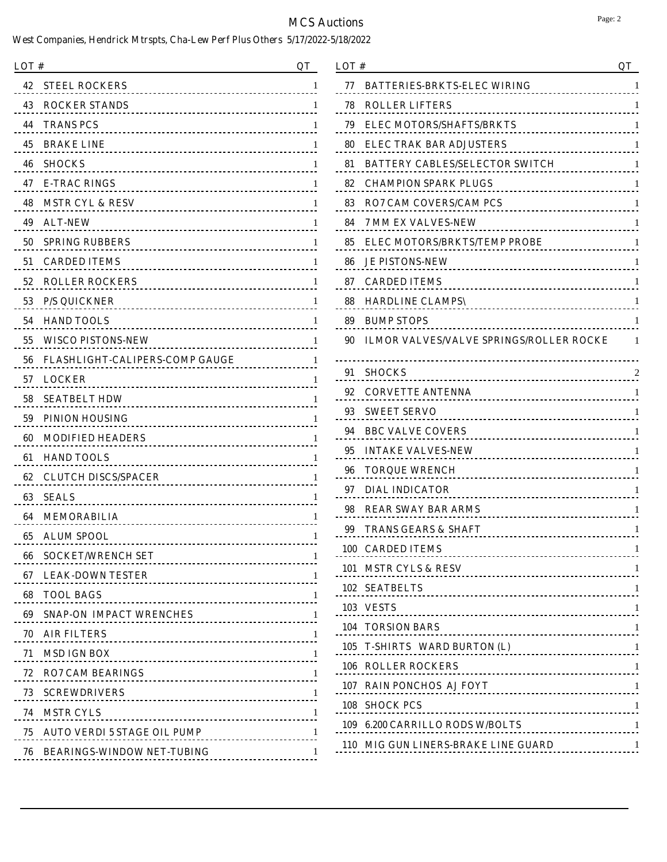| LOT#                                                            | <b>OT</b> |
|-----------------------------------------------------------------|-----------|
| <b>STEEL ROCKERS</b><br>42                                      | 1         |
| <b>43 ROCKER STANDS</b>                                         |           |
| 44<br><b>TRANS PCS</b>                                          | 1         |
| <b>45 BRAKE LINE</b><br><u></u>                                 | 1         |
| <b>SHOCKS</b><br>46                                             | 1         |
| 47 E-TRAC RINGS                                                 | 1         |
| 48 MSTR CYL & RESV                                              | 1         |
| 49<br><b>ALT-NEW</b>                                            | 1         |
| 50<br><b>SPRING RUBBERS</b>                                     | 1         |
| <b>51 CARDED ITEMS</b>                                          | 1         |
| 52 ROLLER ROCKERS                                               | 1         |
| 53 P/S QUICKNER<br>                                             | 1         |
| 54 HAND TOOLS<br>--------------------------------               | 1         |
| 55 WISCO PISTONS-NEW<br><u></u> .                               | 1         |
| <b>56 FLASHLIGHT-CALIPERS-COMP GAUGE</b>                        | 1         |
| 57 LOCKER<br><u></u> .                                          | 1         |
| 58<br><b>SEATBELT HDW</b>                                       | 1         |
| 59 PINION HOUSING                                               | 1         |
| 60<br><b>MODIFIED HEADERS</b>                                   | 1         |
| 61<br><b>HAND TOOLS</b>                                         | 1         |
| <b>CLUTCH DISCS/SPACER</b><br>62                                | 1         |
| 63<br><b>SEALS</b><br><u></u>                                   | 1         |
| 64<br>MEMORABILIA                                               | 1         |
| 65<br><b>ALUM SPOOL</b>                                         | 1         |
| <b>66 SOCKET/WRENCH SET</b><br>-------------------------------- | -1        |
|                                                                 | -1        |
| 68 TOOL BAGS                                                    | -1        |
| 69 SNAP-ON IMPACT WRENCHES                                      |           |
| 70 AIR FILTERS                                                  | -1        |
| 71 MSD IGN BOX                                                  | -1        |
| 72 RO7 CAM BEARINGS                                             | -1        |
|                                                                 | -1        |
| 74 MSTR CYLS                                                    | -1        |
| 75 AUTO VERDI 5 STAGE OIL PUMP                                  |           |
| <b>76 BEARINGS-WINDOW NET-TUBING</b>                            | -1        |

| LOT# | QT                                                      |   |
|------|---------------------------------------------------------|---|
| 77   | <b>BATTERIES-BRKTS-ELEC WIRING</b>                      | 1 |
| 78   | <b>ROLLER LIFTERS</b>                                   | 1 |
| 79   | <b>ELEC MOTORS/SHAFTS/BRKTS</b><br>.                    | 1 |
| 80   | <b>ELEC TRAK BAR ADJUSTERS</b><br><u>.</u>              | 1 |
| 81   | <b>BATTERY CABLES/SELECTOR SWITCH</b>                   | 1 |
| 82   | <b>CHAMPION SPARK PLUGS</b><br><u></u>                  | 1 |
| 83   | <b>RO7 CAM COVERS/CAM PCS</b><br>.                      | 1 |
| 84   | <b>7 MM EX VALVES-NEW</b>                               | 1 |
| 85   | <b>ELEC MOTORS/BRKTS/TEMP PROBE</b><br><u>.</u>         | 1 |
| 86   | <b>JE PISTONS-NEW</b>                                   | 1 |
| 87   | <b>CARDED ITEMS</b><br>                                 | 1 |
| 88   | <b>HARDLINE CLAMPS\</b>                                 | 1 |
| 89   | <b>BUMP STOPS</b>                                       | 1 |
| 90   | <b>ILMOR VALVES/VALVE SPRINGS/ROLLER ROCKE</b>          | 1 |
| 91   | <b>SHOCKS</b>                                           | 2 |
| 92   | <b>CORVETTE ANTENNA</b>                                 | 1 |
| 93   | <b>SWEET SERVO</b><br>                                  | 1 |
| 94   | <b>BBC VALVE COVERS</b>                                 | 1 |
| 95   | <b>INTAKE VALVES-NEW</b><br>--------------------------- | 1 |
| 96   | <b>TORQUE WRENCH</b>                                    | 1 |
| 97   | <b>DIAL INDICATOR</b><br><u></u>                        | 1 |
| 98   | <b>REAR SWAY BAR ARMS</b>                               | 1 |
| 99   | TRANS GEARS & SHAFT                                     | 1 |
| 100  | <b>CARDED ITEMS</b>                                     | 1 |
|      | 101 MSTR CYLS & RESV                                    | 1 |
|      | 102 SEATBELTS 1                                         |   |
|      | 103 VESTS 1                                             |   |
|      | 104 TORSION BARS                                        |   |
|      | 105 T-SHIRTS WARD BURTON (L) 1                          |   |
|      | <b>106 ROLLER ROCKERS</b>                               |   |
|      | 107 RAIN PONCHOS AJ FOYT<br>1197 - RAIN PONCHOS AJ FOYT |   |
|      | 108 SHOCK PCS                                           |   |
|      | 109 6.200 CARRILLO RODS W/BOLTS                         |   |
|      | 110 MIG GUN LINERS-BRAKE LINE GUARD 1                   |   |
|      |                                                         |   |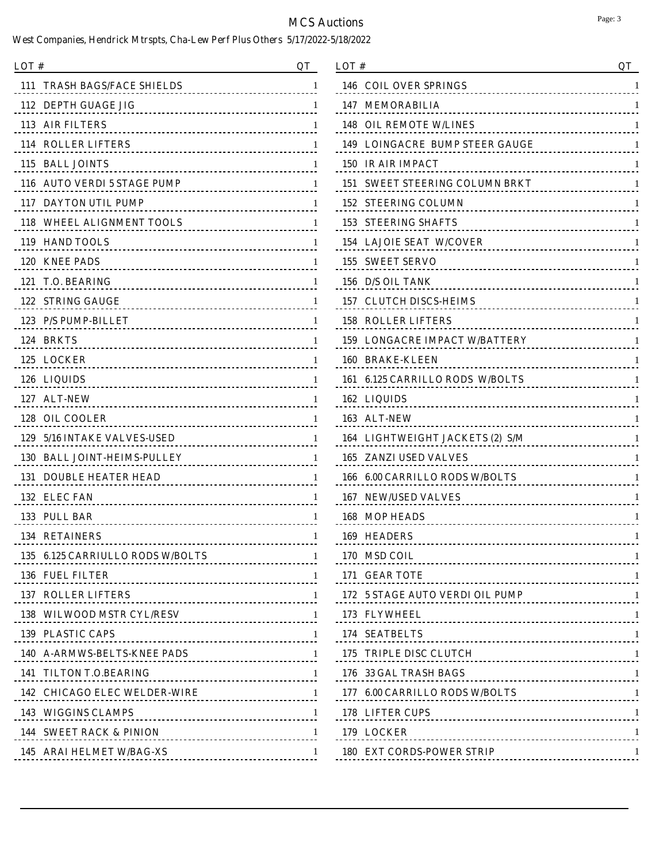| LOT #<br>OТ                                                                                                                                                                                                                      |    |
|----------------------------------------------------------------------------------------------------------------------------------------------------------------------------------------------------------------------------------|----|
| <b>111 TRASH BAGS/FACE SHIELDS</b><br>                                                                                                                                                                                           | 1  |
| 112 DEPTH GUAGE JIG                                                                                                                                                                                                              | 1  |
| 113 AIR FILTERS                                                                                                                                                                                                                  | -1 |
| <b>114 ROLLER LIFTERS</b>                                                                                                                                                                                                        | -1 |
| 115 BALL JOINTS                                                                                                                                                                                                                  | -1 |
| 116 AUTO VERDI 5 STAGE PUMP                                                                                                                                                                                                      |    |
| 117 DAYTON UTIL PUMP                                                                                                                                                                                                             | -1 |
| 118 WHEEL ALIGNMENT TOOLS 1                                                                                                                                                                                                      |    |
| 119 HAND TOOLS                                                                                                                                                                                                                   | -1 |
| 120 KNEE PADS                                                                                                                                                                                                                    |    |
| 121 T.O. BEARING<br>TRIPLE TO A SEAR AND THE SEARCH SEARCH SEARCH SEARCH SEARCH SEARCH SEARCH SEARCH SEARCH SEARCH SEARCH SEARCH SEARCH SEARCH SEARCH SEARCH SEARCH SEARCH SEARCH SEARCH SEARCH SEARCH SEARCH SEARCH SEARCH SEAR | -1 |
| <b>122 STRING GAUGE</b>                                                                                                                                                                                                          |    |
|                                                                                                                                                                                                                                  | -1 |
| 124 BRKTS                                                                                                                                                                                                                        |    |
|                                                                                                                                                                                                                                  | -1 |
| 126 LIQUIDS                                                                                                                                                                                                                      |    |
|                                                                                                                                                                                                                                  | -1 |
| 128 OIL COOLER                                                                                                                                                                                                                   |    |
| 129 5/16 INTAKE VALVES-USED                                                                                                                                                                                                      | -1 |
| 130 BALL JOINT-HEIMS-PULLEY 1                                                                                                                                                                                                    |    |
| <b>131 DOUBLE HEATER HEAD</b>                                                                                                                                                                                                    | -1 |
| 132 ELEC FAN                                                                                                                                                                                                                     | -1 |
| 133 PULL BAR                                                                                                                                                                                                                     | -1 |
| <b>134 RETAINERS</b>                                                                                                                                                                                                             | 1  |
| 135 6.125 CARRIULLO RODS W/BOLTS 1                                                                                                                                                                                               |    |
|                                                                                                                                                                                                                                  |    |
| 137 ROLLER LIFTERS 1                                                                                                                                                                                                             |    |
| 138 WILWOOD MSTR CYL/RESV 1                                                                                                                                                                                                      |    |
| 139 PLASTIC CAPS 1                                                                                                                                                                                                               |    |
| 140 A-ARMWS-BELTS-KNEE PADS 1                                                                                                                                                                                                    |    |
|                                                                                                                                                                                                                                  |    |
| 142 CHICAGO ELEC WELDER-WIRE 1                                                                                                                                                                                                   |    |
|                                                                                                                                                                                                                                  |    |
|                                                                                                                                                                                                                                  |    |
|                                                                                                                                                                                                                                  |    |

| LOT#                                                 | QT |
|------------------------------------------------------|----|
| 146<br><b>COIL OVER SPRINGS</b>                      | 1  |
| 147<br>MEMORABILIA                                   | 1  |
| 148<br><b>OIL REMOTE W/LINES</b><br>                 | 1  |
| <b>LOINGACRE BUMP STEER GAUGE</b><br>149<br><u>.</u> | 1  |
| 150 IR AIR IMPACT                                    | 1  |
| <b>SWEET STEERING COLUMN BRKT</b><br>151<br>.        | 1  |
| 152<br><b>STEERING COLUMN</b><br>                    | 1  |
| 153<br><b>STEERING SHAFTS</b><br><u></u>             | 1  |
| <b>154 LAJOIE SEAT W/COVER</b>                       | 1  |
| 155<br><b>SWEET SERVO</b><br>                        | 1  |
| 156 D/S OIL TANK<br>                                 | 1  |
| 157<br><b>CLUTCH DISCS-HEIMS</b>                     | 1  |
| <b>ROLLER LIFTERS</b><br>158<br>                     | 1  |
| <b>LONGACRE IMPACT W/BATTERY</b><br>159              | 1  |
| 160 BRAKE-KLEEN                                      | 1  |
| 161 - 6.125 CARRILLO RODS - W/BOLTS                  | 1  |
| 162<br>LIQUIDS<br>                                   | 1  |
| 163<br><b>ALT-NEW</b>                                | 1  |
| 164 LIGHTWEIGHT JACKETS (2) S/M<br><u></u> .         | 1  |
| 165<br><b>ZANZI USED VALVES</b><br><u></u> .         | 1  |
| <b>6.00 CARRILLO RODS W/BOLTS</b><br>166<br>.        | 1  |
| <b>NEW/USED VALVES</b><br>167                        | 1  |
| 168<br><b>MOP HEADS</b>                              | 1  |
| <b>HEADERS</b><br>169                                | 1  |
| <u>.</u><br>170 MSD COIL                             | 1  |
| 171 GEAR TOTE                                        |    |
| 172 5 STAGE AUTO VERDI OIL PUMP 1                    |    |
| 173 FLYWHEEL                                         |    |
| 174 SEATBELTS                                        |    |
| 175 TRIPLE DISC CLUTCH 1                             |    |
| 176 33 GAL TRASH BAGS                                |    |
| 177 6.00 CARRILLO RODS W/BOLTS 1                     |    |
| 178 LIFTER CUPS 1                                    |    |
| 179 LOCKER                                           | -1 |
| <b>180 EXT CORDS-POWER STRIP</b>                     |    |
|                                                      |    |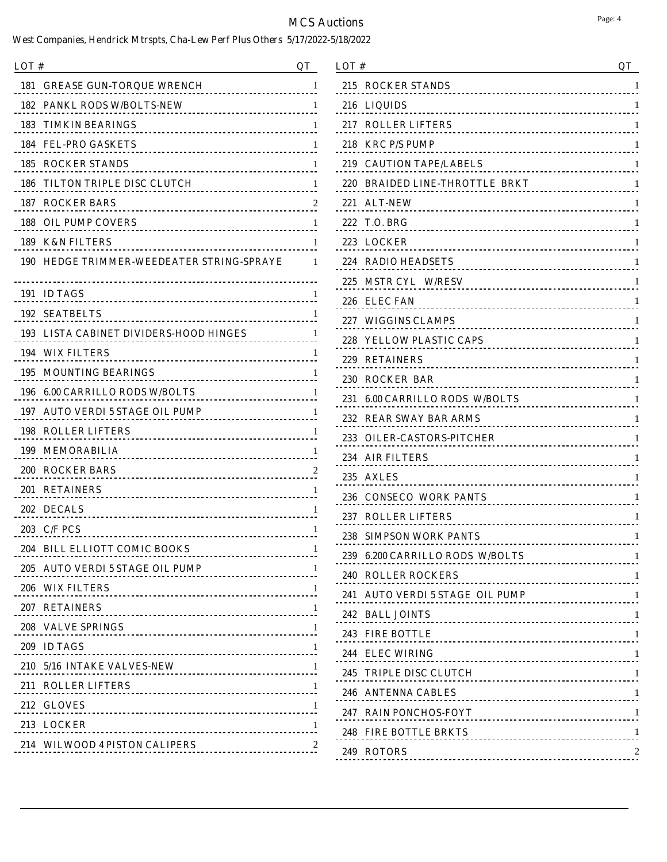| LOT #                                             | OТ |
|---------------------------------------------------|----|
| <b>GREASE GUN-TOROUE WRENCH</b><br>181<br><u></u> | 1  |
| <b>PANKL RODS W/BOLTS-NEW</b><br>182<br><u></u>   | 1  |
| 183 TIMKIN BEARINGS                               | 1  |
| <b>FEL-PRO GASKETS</b><br>184                     | 1  |
| <b>185 ROCKER STANDS</b>                          | 1  |
| TILTON TRIPLE DISC CLUTCH<br>186.                 | 1  |
| <b>187 ROCKER BARS</b><br>                        | 2  |
| <b>OIL PUMP COVERS</b><br>188                     | 1  |
| <b>189 K&amp;N FILTERS</b>                        | 1  |
| <b>190 HEDGE TRIMMER-WEEDEATER STRING-SPRAYE</b>  | 1  |
| 191 ID TAGS                                       | 1  |
| <b>SEATBELTS</b><br>192                           | 1  |
| 193 LISTA CABINET DIVIDERS-HOOD HINGES            | 1  |
| WIX FILTERS<br>194                                | 1  |
| <b>MOUNTING BEARINGS</b><br>195                   | 1  |
| <b>6.00 CARRILLO RODS W/BOLTS</b><br>196<br>.     | 1  |
| <b>AUTO VERDI 5 STAGE OIL PUMP</b><br>197<br>.    | 1  |
| <b>ROLLER LIFTERS</b><br>198                      | 1  |
| <b>199 MEMORABILIA</b>                            | 1  |
| <b>200 ROCKER BARS</b>                            | 2  |
| 201 RETAINERS                                     | 1  |
| 202 DECALS                                        | 1  |
| 203 C/F PCS<br><u></u>                            | -1 |
| 204 BILL ELLIOTT COMIC BOOKS<br>.                 | -1 |
| 205 AUTO VERDI 5 STAGE OIL PUMP                   |    |
| 206 WIX FILTERS 1                                 |    |
| 207 RETAINERS                                     |    |
| 208 VALVE SPRINGS 1                               |    |
| 209 ID TAGS                                       |    |
| 210 5/16 INTAKE VALVES-NEW 1                      |    |
| 211 ROLLER LIFTERS                                |    |
| 212 GLOVES 1                                      |    |
| 213 LOCKER                                        |    |
| 214 WILWOOD 4 PISTON CALIPERS 214                 |    |
|                                                   |    |

| QT                                |
|-----------------------------------|
| 1                                 |
| 1                                 |
| 1                                 |
| 1                                 |
| 1                                 |
| 1                                 |
| 1                                 |
| 1                                 |
| 1                                 |
| 1                                 |
| 1                                 |
| 1                                 |
| 1                                 |
| 1                                 |
| 1                                 |
| 1                                 |
| 1                                 |
| 1                                 |
| 1                                 |
| 1                                 |
| 1                                 |
| 1                                 |
| 1                                 |
| 1                                 |
| 1                                 |
|                                   |
| 241 AUTO VERDI 5 STAGE OIL PUMP 1 |
|                                   |
|                                   |
|                                   |
|                                   |
|                                   |
|                                   |
|                                   |
|                                   |
|                                   |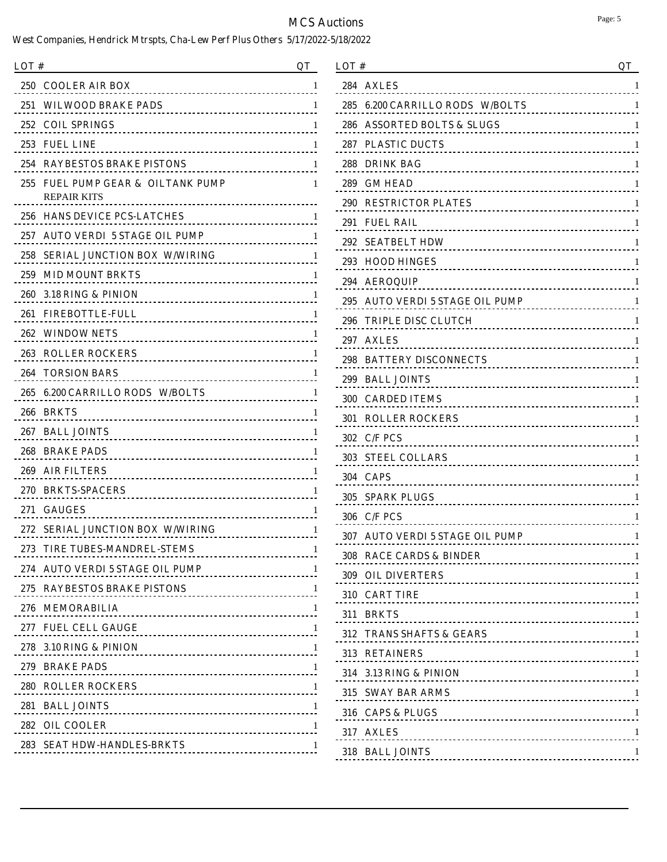| LOT #                                                          | OТ           |
|----------------------------------------------------------------|--------------|
| 250<br><b>COOLER AIR BOX</b><br>.                              | 1            |
| WILWOOD BRAKE PADS<br>251                                      |              |
| 252<br><b>COIL SPRINGS</b>                                     |              |
| 253<br><b>FUEL LINE</b><br><u>-----------------------</u> -    |              |
| 254<br><b>RAYBESTOS BRAKE PISTONS</b>                          | 1            |
| <b>FUEL PUMP GEAR &amp; OILTANK PUMP</b><br>255<br>REPAIR KITS | 1            |
| 256<br><b>HANS DEVICE PCS-LATCHES</b>                          | ı            |
| 257<br><b>AUTO VERDI 5 STAGE OIL PUMP</b><br><u>.</u>          |              |
| 258<br>SERIAL JUNCTION BOX W/WIRING<br><u>.</u>                |              |
| 259<br><b>MID MOUNT BRKTS</b><br><u></u>                       |              |
| 260-<br>3.18 RING & PINION<br><u>.</u>                         |              |
| 261<br><b>FIREBOTTLE-FULL</b><br><u>.</u>                      |              |
| 262<br><b>WINDOW NETS</b><br><u>.</u>                          |              |
| 263<br><b>ROLLER ROCKERS</b>                                   |              |
| 264<br><b>TORSION BARS</b><br>.                                |              |
| <b>6.200 CARRILLO RODS W/BOLTS</b><br>265                      | ı            |
| 266<br><b>BRKTS</b>                                            |              |
| 267<br><b>BALL JOINTS</b>                                      |              |
| 268.<br><b>BRAKE PADS</b><br>.                                 |              |
| 269<br><b>AIR FILTERS</b><br><u></u>                           | ı            |
| <b>270 BRKTS-SPACERS</b><br><u>.</u>                           |              |
| 271<br><b>GAUGES</b>                                           | ı            |
| 272<br><b>SERIAL JUNCTION BOX W/WIRING</b>                     | 1            |
| 273 TIRE TUBES-MANDREL-STEMS<br>.                              | 1            |
| 274 AUTO VERDI 5 STAGE OIL PUMP                                | - 1          |
|                                                                | $\mathbf{1}$ |
| 276 MEMORABILIA                                                | $\perp$      |
| 277 FUEL CELL GAUGE                                            | $\perp$      |
| 278 3.10 RING & PINION                                         | $\perp$      |
|                                                                | -1           |
| <b>280 ROLLER ROCKERS</b>                                      | $\perp$      |
| 281 BALL JOINTS                                                | -1           |
| 282 OIL COOLER                                                 | -1           |
| 283 SEAT HDW-HANDLES-BRKTS                                     | $\mathbf{1}$ |

| LOT #                                        | QT |
|----------------------------------------------|----|
| <b>AXLES</b><br>284                          | 1  |
| <b>6.200 CARRILLO RODS W/BOLTS</b><br>285    | 1  |
| 286<br><b>ASSORTED BOLTS &amp; SLUGS</b>     | 1  |
| <b>PLASTIC DUCTS</b><br>287                  | 1  |
| 288<br><b>DRINK BAG</b><br>.                 | 1  |
| 289<br><b>GM HEAD</b>                        | 1  |
| <b>RESTRICTOR PLATES</b><br>290              | 1  |
| 291<br><b>FUEL RAIL</b>                      | 1  |
| 292<br><b>SEATBELT HDW</b><br>               | 1  |
| 293<br><b>HOOD HINGES</b>                    | 1  |
| 294<br><b>AEROQUIP</b><br>.                  | 1  |
| AUTO VERDI 5 STAGE OIL PUMP<br>295           | 1  |
| 296<br><b>TRIPLE DISC CLUTCH</b><br><u>.</u> | 1  |
| <b>AXLES</b><br>297                          | 1  |
| 298<br><b>BATTERY DISCONNECTS</b><br><u></u> | 1  |
| 299<br><b>BALL JOINTS</b>                    | 1  |
| 300<br><b>CARDED ITEMS</b>                   | 1  |
| 301<br><b>ROLLER ROCKERS</b>                 | 1  |
| 302<br><b>C/F PCS</b>                        | 1  |
| 303<br><b>STEEL COLLARS</b>                  | 1  |
| 304<br><b>CAPS</b>                           | 1  |
| 305<br><b>SPARK PLUGS</b>                    | 1  |
| <b>C/F PCS</b><br>306                        | 1  |
| 307<br>AUTO VERDI 5 STAGE OIL PUMP           | 1  |
| 308 RACE CARDS & BINDER                      | 1  |
| <b>309 OIL DIVERTERS</b>                     | -1 |
| 310 CART TIRE 1                              |    |
| 311 BRKTS 11 BRKTS 2014                      |    |
| 312 TRANS SHAFTS & GEARS 1                   |    |
| 313 RETAINERS                                |    |
| 314 3.13 RING & PINION                       |    |
| 315 SWAY BAR ARMS 1                          |    |
| 316 CAPS & PLUGS 1                           |    |
| 317 AXLES 1                                  |    |
| 318 BALL JOINTS                              | -1 |
|                                              |    |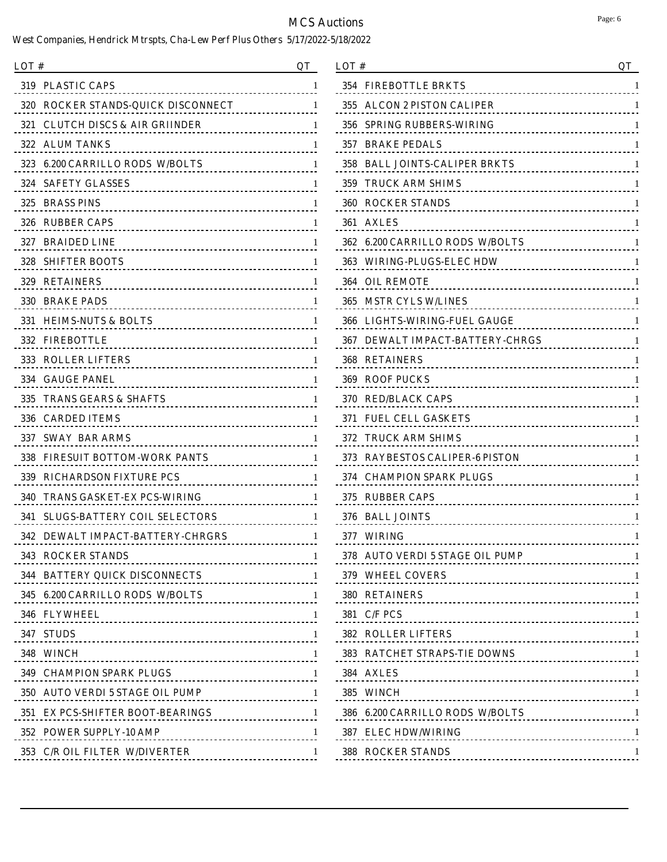| LOT #<br>OТ                                           |              |
|-------------------------------------------------------|--------------|
| <b>319 PLASTIC CAPS</b>                               | 1            |
| 320 ROCKER STANDS-QUICK DISCONNECT                    | 1            |
| 321 CLUTCH DISCS & AIR GRIINDER<br>.                  | -1           |
| 322 ALUM TANKS<br><u></u>                             | 1            |
| 323 6.200 CARRILLO RODS W/BOLTS<br>.                  | 1            |
| <b>324 SAFETY GLASSES</b>                             | 1            |
| 325 BRASS PINS                                        | 1            |
| 326 RUBBER CAPS                                       | 1            |
| 327 BRAIDED LINE<br>                                  | 1            |
| <b>328 SHIFTER BOOTS</b>                              | 1            |
| 329 RETAINERS                                         | 1            |
| 330 BRAKE PADS<br>                                    | 1            |
| 331 HEIMS-NUTS & BOLTS<br>                            | 1            |
| <b>332 FIREBOTTLE</b><br>                             | 1            |
| <b>333 ROLLER LIFTERS</b>                             | ı.           |
| <b>334 GAUGE PANEL</b>                                | 1            |
| 335 TRANS GEARS & SHAFTS                              | 1            |
| <b>336 CARDED ITEMS</b>                               | 1            |
| 337   SWAY  BAR ARMS                                  | ı.           |
| 338<br><b>FIRESUIT BOTTOM-WORK PANTS</b><br><u></u>   | -1           |
| <b>339 RICHARDSON FIXTURE PCS</b>                     | 1            |
| 340<br>TRANS GASKET-EX PCS-WIRING<br>.                | 1            |
| <b>SLUGS-BATTERY COIL SELECTORS</b><br>341            | 1            |
| <b>DEWALT IMPACT-BATTERY-CHRGRS</b><br>342            | 1            |
| 343 ROCKER STANDS<br>-------------------------------- | -1           |
| 344 BATTERY QUICK DISCONNECTS 1                       |              |
| 345 6.200 CARRILLO RODS W/BOLTS 1                     |              |
|                                                       | $\mathbf{I}$ |
| 347 STUDS                                             | $\mathbf{1}$ |
| 348 WINCH                                             | $\mathbf{1}$ |
| 349 CHAMPION SPARK PLUGS<br>1                         | $\mathbf{1}$ |
| 350 AUTO VERDI 5 STAGE OIL PUMP 1                     |              |
| 351 EX PCS-SHIFTER BOOT-BEARINGS                      | $\mathbf{1}$ |
|                                                       | $\mathbf{1}$ |
| 353 C/R OIL FILTER W/DIVERTER                         | $\mathbf{1}$ |

| LOT #                                                              | QT      |
|--------------------------------------------------------------------|---------|
| 354<br><b>FIREBOTTLE BRKTS</b>                                     | 1       |
| <b>ALCON 2 PISTON CALIPER</b><br>355<br><u>.</u>                   | 1       |
| 356<br><b>SPRING RUBBERS-WIRING</b><br><u></u>                     | 1       |
| <b>BRAKE PEDALS</b><br>357                                         | 1       |
| <b>BALL JOINTS-CALIPER BRKTS</b><br>358<br><u>.</u>                | 1       |
| 359<br>TRUCK ARM SHIMS                                             | 1       |
| 360<br><b>ROCKER STANDS</b>                                        | 1       |
| <b>AXLES</b><br>361                                                | 1       |
| <b>6.200 CARRILLO RODS W/BOLTS</b><br>362<br><u>.</u>              | 1       |
| 363<br>WIRING-PLUGS-ELEC HDW                                       | 1       |
| <b>OIL REMOTE</b><br>364                                           | 1       |
| 365<br><b>MSTR CYLS W/LINES</b><br><u></u>                         | 1       |
| LIGHTS-WIRING-FUEL GAUGE<br>366<br><u>.</u>                        | 1       |
| <b>DEWALT IMPACT-BATTERY-CHRGS</b><br>367<br><u>.</u>              | 1       |
| <b>RETAINERS</b><br>368<br>.                                       | 1       |
| <b>ROOF PUCKS</b><br>369<br><u></u>                                | 1       |
| 370<br><b>RED/BLACK CAPS</b><br><u></u>                            | 1       |
| 371<br><b>FUEL CELL GASKETS</b><br><u>------------------------</u> | 1       |
| 372<br><b>TRUCK ARM SHIMS</b><br>--------------------------        | 1       |
| <b>RAYBESTOS CALIPER-6 PISTON</b><br>373                           | 1       |
| <b>CHAMPION SPARK PLUGS</b><br>374<br><u>.</u>                     | 1       |
| 375<br><b>RUBBER CAPS</b>                                          | 1       |
| 376<br><b>BALL JOINTS</b>                                          | 1       |
| WIRING<br>377<br><u>.</u>                                          | 1       |
| 378 AUTO VERDI 5 STAGE OIL PUMP<br>.                               | 1       |
| 379 WHEEL COVERS                                                   | 1       |
| 380 RETAINERS                                                      | -1      |
| <b>381 C/F PCS</b>                                                 | -1      |
| <b>382 ROLLER LIFTERS</b>                                          |         |
| 383 RATCHET STRAPS-TIE DOWNS                                       | -1      |
| 384 AXLES                                                          | $\perp$ |
| 385 WINCH                                                          | $\perp$ |
| 386 6.200 CARRILLO RODS W/BOLTS                                    | -1      |
| 387 ELEC HDW/WIRING<br><u>!</u>                                    | -1      |
| <b>388 ROCKER STANDS</b>                                           | 1       |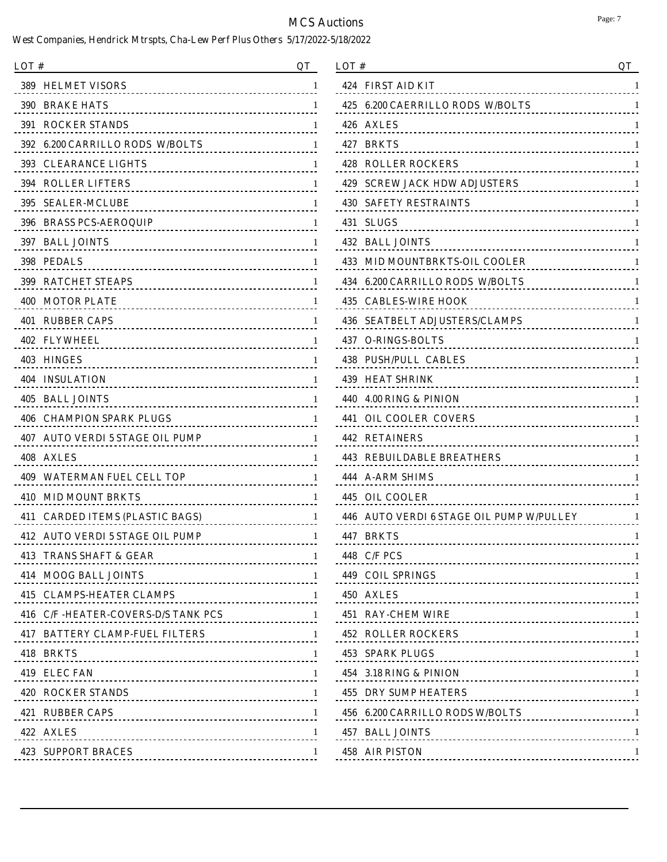| LOT#                                                                 | <b>OT</b> |
|----------------------------------------------------------------------|-----------|
| 389 <b>SEP</b><br><b>HELMET VISORS</b><br><u></u>                    | 1         |
| <b>390 BRAKE HATS</b>                                                | 1         |
| <b>391 ROCKER STANDS</b>                                             | 1         |
| 392 6.200 CARRILLO RODS W/BOLTS<br><u>.</u>                          | 1         |
| 393 <b>SEP</b><br><b>CLEARANCE LIGHTS</b><br>----------------------- | 1         |
| <b>394 ROLLER LIFTERS</b>                                            | 1         |
| 395 I<br><b>SEALER-MCLUBE</b>                                        | 1         |
| 396 BRASS PCS-AEROQUIP                                               | 1         |
| 397 BALL JOINTS                                                      | 1         |
| 398 PEDALS<br><u></u>                                                | 1         |
| <b>399 RATCHET STEAPS</b>                                            | 1         |
| <b>400 MOTOR PLATE</b>                                               | 1         |
| 401 RUBBER CAPS                                                      | 1         |
| 402 FLYWHEEL                                                         | 1         |
| 403 HINGES                                                           | 1         |
| <b>404 INSULATION</b><br>------------------------------------        | 1         |
| 405 BALL JOINTS                                                      | 1         |
| <b>406 CHAMPION SPARK PLUGS</b><br>.                                 | -1        |
| <b>AUTO VERDI 5 STAGE OIL PUMP</b><br>407<br><u>----------------</u> | 1         |
| 408<br><b>AXLES</b><br><u></u>                                       | 1         |
| 409<br><b>WATERMAN FUEL CELL TOP</b><br>.                            | 1         |
| 410<br><b>MID MOUNT BRKTS</b><br>.                                   | 1         |
| 411<br><b>CARDED ITEMS (PLASTIC BAGS)</b>                            | 1         |
| <b>AUTO VERDI 5 STAGE OIL PUMP</b><br>412                            | 1         |
| 413 TRANS SHAFT & GEAR<br>                                           | -1        |
| 414 MOOG BALL JOINTS                                                 |           |
|                                                                      |           |
| 416 C/F -HEATER-COVERS-D/S TANK PCS 1                                |           |
| 417 BATTERY CLAMP-FUEL FILTERS 1                                     |           |
| 418 BRKTS                                                            |           |
| 419 ELEC FAN                                                         |           |
| <b>420 ROCKER STANDS</b>                                             |           |
| 421 RUBBER CAPS                                                      |           |
| 422 AXLES                                                            |           |
| <b>423 SUPPORT BRACES</b>                                            | -1        |

| LOT #                                                         | QT  |
|---------------------------------------------------------------|-----|
| 424 FIRST AID KIT<br><u></u>                                  | 1   |
| <b>6.200 CAERRILLO RODS W/BOLTS</b><br>425<br>.               | 1   |
| 426 AXLES                                                     | 1   |
| 427 BRKTS<br>                                                 | 1   |
| <b>ROLLER ROCKERS</b><br>428<br>                              | 1   |
| 429<br><b>SCREW JACK HDW ADJUSTERS</b><br>                    | 1   |
| 430<br><b>SAFETY RESTRAINTS</b>                               | 1   |
| 431<br><b>SLUGS</b>                                           | 1   |
| 432 BALL JOINTS<br>----------------------------------         | 1   |
| 433 MID MOUNTBRKTS-OIL COOLER<br><u></u>                      | 1   |
| 434<br><b>6.200 CARRILLO RODS W/BOLTS</b><br><u></u>          | 1   |
| 435<br><b>CABLES-WIRE HOOK</b>                                | 1   |
| <b>SEATBELT ADJUSTERS/CLAMPS</b><br>436                       | 1   |
| 437<br><b>O-RINGS-BOLTS</b>                                   | 1   |
| 438<br><b>PUSH/PULL CABLES</b>                                | 1   |
| <b>439 HEAT SHRINK</b>                                        | 1   |
| 440<br>4.00 RING & PINION<br>-------------------------------- | 1   |
| <b>OIL COOLER COVERS</b><br>441                               | 1   |
| <b>442 RETAINERS</b><br>                                      | 1   |
| 443 REBUILDABLE BREATHERS                                     | 1   |
| 444<br><b>A-ARM SHIMS</b><br>                                 | 1   |
| 445<br><b>OIL COOLER</b>                                      | 1   |
| <b>AUTO VERDI 6 STAGE OIL PUMP W/PULLEY</b><br>446            | 1   |
| 447 BRKTS                                                     | 1   |
| 448 C/F PCS<br>-------------------------------------          | 1   |
| <b>449 COIL SPRINGS</b>                                       | - 1 |
| 450 AXLES 1                                                   |     |
| 451 RAY-CHEM WIRE                                             |     |
| 452 ROLLER ROCKERS                                            |     |
| 453 SPARK PLUGS 1                                             |     |
| 454 3.18 RING & PINION                                        |     |
| <b>455 DRY SUMP HEATERS</b>                                   |     |
| 456 6.200 CARRILLO RODS W/BOLTS 1                             |     |
| 457 BALL JOINTS                                               |     |
| 458 AIR PISTON                                                | -1  |
|                                                               |     |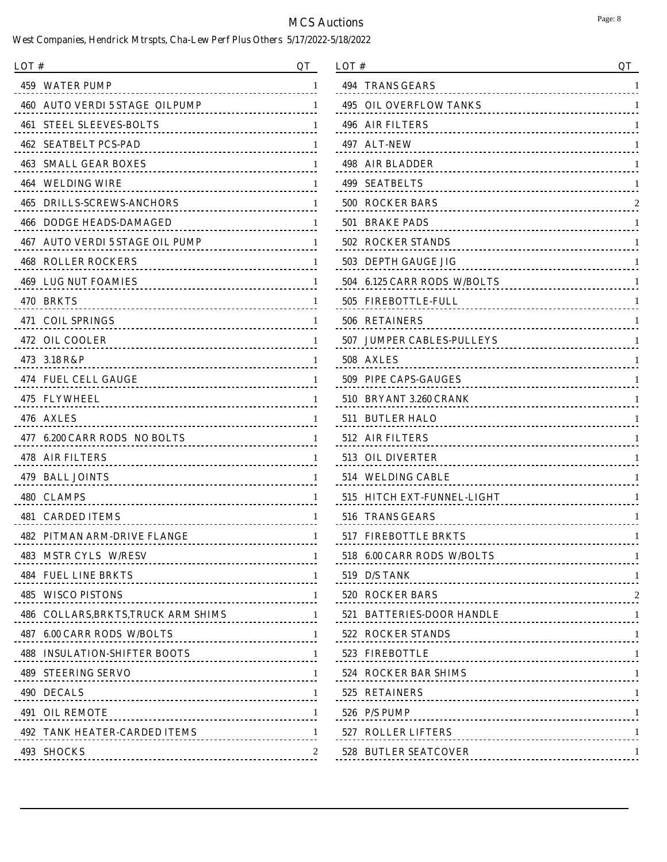| LOT#                                                                  | OТ           |
|-----------------------------------------------------------------------|--------------|
| 459<br><b>WATER PUMP</b><br><u></u>                                   | 1            |
| 460<br>AUTO VERDI 5 STAGE  OILPUMP                                    | 1            |
| 461<br><b>STEEL SLEEVES-BOLTS</b>                                     | 1            |
| 462<br><b>SEATBELT PCS-PAD</b>                                        | 1            |
| 463<br><b>SMALL GEAR BOXES</b><br><u></u> .                           | 1            |
| 464<br>WELDING WIRE<br><u></u>                                        | 1            |
| 465<br><b>DRILLS-SCREWS-ANCHORS</b>                                   | 1            |
| 466<br><b>DODGE HEADS-DAMAGED</b><br><u></u>                          | 1            |
| 467<br>AUTO VERDI 5 STAGE OIL PUMP<br>.                               | 1            |
| 468<br><b>ROLLER ROCKERS</b>                                          | 1            |
| <b>469 LUG NUT FOAMIES</b>                                            | 1            |
| 470 BRKTS                                                             | 1            |
| 471 COIL SPRINGS                                                      | 1            |
| 472.<br><b>OIL COOLER</b><br><u></u>                                  | 1            |
| 473 3.18 R&P                                                          | 1            |
| 474.<br><b>FUEL CELL GAUGE</b><br><u></u>                             | 1            |
| <b>475 FLYWHEEL</b>                                                   | 1            |
| 476<br><b>AXLES</b>                                                   | 1            |
| 477<br><b>6.200 CARR RODS NO BOLTS</b><br>.                           | 1            |
| 478<br><b>AIR FILTERS</b>                                             | 1            |
| 479 BALL JOINTS                                                       | 1            |
| 480 CLAMPS                                                            | 1            |
| 481<br><b>CARDED ITEMS</b>                                            | 1            |
| 482<br>PITMAN ARM-DRIVE FLANGE                                        | 1            |
| 483 MSTR CYLS W/RESV                                                  | 1            |
|                                                                       | -1           |
| <b>485 WISCO PISTONS</b>                                              | 1            |
| 486 COLLARS, BRKTS, TRUCK ARM SHIMS                                   | $\mathbf{1}$ |
| 487 6.00 CARR RODS W/BOLTS<br>1<br>---------------------------------- | -1           |
| <b>488 INSULATION-SHIFTER BOOTS</b>                                   | -1           |
| <b>489 STEERING SERVO</b>                                             | -1           |
| 490 DECALS                                                            | -1           |
| <b>491 OIL REMOTE</b>                                                 | -1           |
| <b>492 TANK HEATER-CARDED ITEMS</b>                                   |              |
| 493 SHOCKS                                                            |              |
|                                                                       |              |

| LOT#                                                                | QT |
|---------------------------------------------------------------------|----|
| 494<br><b>TRANS GEARS</b>                                           | 1  |
| 495<br><b>OIL OVERFLOW TANKS</b><br><u>----------------------</u> - | 1  |
| 496<br><b>AIR FILTERS</b><br>----------------------------           | 1  |
| <b>ALT-NEW</b><br>497<br><u></u>                                    | 1  |
| 498<br><b>AIR BLADDER</b><br>                                       | 1  |
| <b>SEATBELTS</b><br>499<br><u></u>                                  | 1  |
| <b>ROCKER BARS</b><br>500                                           |    |
| <b>BRAKE PADS</b><br>501                                            | 1  |
| 502<br><b>ROCKER STANDS</b><br><u></u>                              | 1  |
| 503<br><b>DEPTH GAUGE JIG</b><br><u>-------------------------</u> - | 1  |
| <b>6.125 CARR RODS W/BOLTS</b><br>504<br><u></u>                    | 1  |
| 505<br><b>FIREBOTTLE-FULL</b><br><u></u>                            | 1  |
| 506<br><b>RETAINERS</b><br><u></u>                                  | 1  |
| <b>JUMPER CABLES-PULLEYS</b><br>507<br><u></u>                      | 1  |
| 508<br><b>AXLES</b>                                                 | 1  |
| PIPE CAPS-GAUGES<br>509<br><u>-------------------------</u>         | 1  |
| 510<br>BRYANT 3.260 CRANK                                           | 1  |
| <b>BUTLER HALO</b><br>511<br><u></u>                                | 1  |
| 512<br><b>AIR FILTERS</b>                                           | 1  |
| 513<br><b>OIL DIVERTER</b><br><u></u>                               | 1  |
| 514<br><b>WELDING CABLE</b>                                         | 1  |
| <b>HITCH EXT-FUNNEL-LIGHT</b><br>515                                | 1  |
| 516<br><b>TRANS GEARS</b>                                           | 1  |
| <b>FIREBOTTLE BRKTS</b><br>517                                      | 1  |
| 518 6.00 CARR RODS W/BOLTS                                          | 1  |
| <b>519 D/S TANK</b>                                                 |    |
| 520 ROCKER BARS                                                     |    |
| 521 BATTERIES-DOOR HANDLE 1                                         |    |
| 522 ROCKER STANDS 1                                                 |    |
| 523 FIREBOTTLE                                                      |    |
| 524 ROCKER BAR SHIMS 1                                              |    |
| 525 RETAINERS                                                       |    |
| $526$ P/S PUMP                                                      |    |
| 527 ROLLER LIFTERS                                                  | -1 |
| <b>528 BUTLER SEATCOVER</b>                                         | -1 |
|                                                                     |    |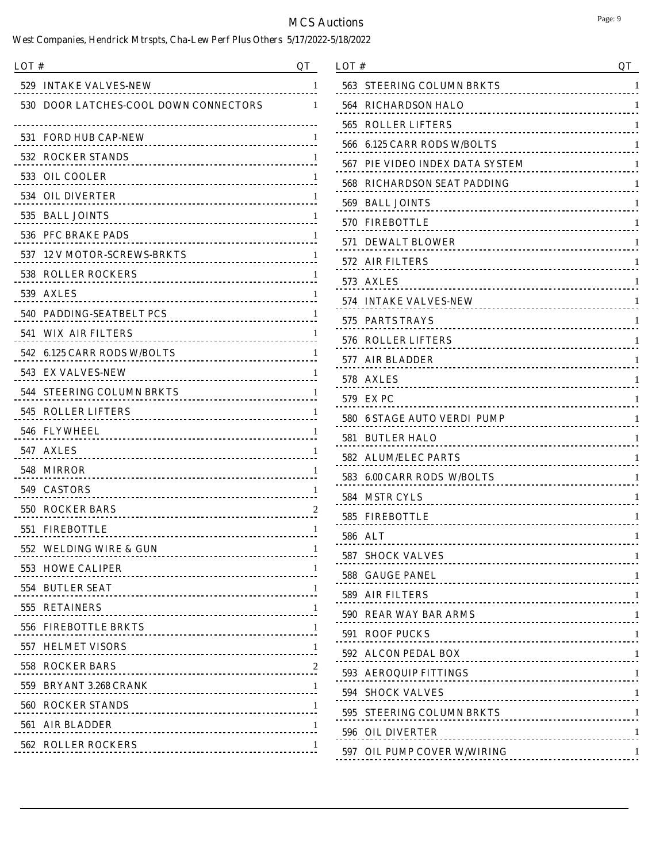| LOT # |                                                        | QT |
|-------|--------------------------------------------------------|----|
| 529 - | <b>INTAKE VALVES-NEW</b><br><u>.</u>                   | 1  |
| 530   | <b>DOOR LATCHES-COOL DOWN CONNECTORS</b>               | 1  |
| 531   | <b>FORD HUB CAP-NEW</b>                                | 1  |
|       | 532 ROCKER STANDS<br><u></u>                           |    |
|       | 533 OIL COOLER                                         | I  |
|       | <b>534 OIL DIVERTER</b>                                |    |
| 535.  | <b>BALL JOINTS</b>                                     | 1  |
|       | 536 PFC BRAKE PADS                                     |    |
| 537.  | <b>12 V MOTOR-SCREWS-BRKTS</b><br>.                    | 1  |
| 538   | <b>ROLLER ROCKERS</b>                                  |    |
|       | 539 AXLES                                              | 1  |
|       | 540 PADDING-SEATBELT PCS                               |    |
|       | <b>541 WIX AIR FILTERS</b>                             | 1  |
|       | 542 6.125 CARR RODS W/BOLTS                            |    |
|       | 543 EX VALVES-NEW                                      | 1  |
|       | <b>544 STEERING COLUMN BRKTS</b>                       |    |
| 545   | <b>ROLLER LIFTERS</b>                                  | 1  |
|       | 546 FLYWHEEL<br>                                       |    |
| 547   | <b>AXLES</b>                                           | 1  |
|       | <b>548 MIRROR</b>                                      |    |
|       | 549 CASTORS                                            | 1  |
|       | <b>550 ROCKER BARS</b><br>____________________________ |    |
| 551   | <b>FIREBOTTLE</b>                                      | 1  |
|       | 552 WELDING WIRE & GUN<br>.                            | 1  |
|       | 553 HOWE CALIPER                                       | 1  |
|       | 554 BUTLER SEAT                                        | 1  |
|       | 555 RETAINERS                                          | 1  |
|       | 556 FIREBOTTLE BRKTS                                   | 1  |
|       |                                                        | 1  |
|       | <b>558 ROCKER BARS</b>                                 | 2  |
|       |                                                        | 1  |
|       | <b>560 ROCKER STANDS</b>                               | 1  |
|       | 561 AIR BLADDER                                        | 1  |
|       | <b>562 ROLLER ROCKERS</b><br>                          | 1  |
|       |                                                        |    |

| LOT#                      | QT                                                                 |
|---------------------------|--------------------------------------------------------------------|
| 563                       | <b>STEERING COLUMN BRKTS</b><br>1<br><u>.</u>                      |
| 564                       | <b>RICHARDSON HALO</b><br>1                                        |
| 565                       | <b>ROLLER LIFTERS</b><br>1                                         |
| 566                       | <b>6.125 CARR RODS W/BOLTS</b><br>1<br><u></u>                     |
| 567                       | PIE VIDEO INDEX DATA SYSTEM<br>1<br>.                              |
| 568                       | <b>RICHARDSON SEAT PADDING</b><br>1<br><u>--------------------</u> |
| 569<br><b>BALL JOINTS</b> | 1<br><u></u>                                                       |
| <b>FIREBOTTLE</b><br>570  | 1<br>                                                              |
| 571                       | <b>DEWALT BLOWER</b><br>1<br>                                      |
| <b>AIR FILTERS</b><br>572 | 1                                                                  |
| 573<br><b>AXLES</b>       | 1                                                                  |
| 574                       | <b>INTAKE VALVES-NEW</b><br>1                                      |
| 575<br><b>PARTS TRAYS</b> | 1<br>                                                              |
| 576                       | <b>ROLLER LIFTERS</b><br>1                                         |
| 577<br><b>AIR BLADDER</b> | 1                                                                  |
| <b>AXLES</b><br>578       | 1                                                                  |
| <b>EXPC</b><br>579.       | 1                                                                  |
| 580                       | <b>6 STAGE AUTO VERDI PUMP</b><br>1<br><u></u>                     |
| <b>BUTLER HALO</b><br>581 | 1                                                                  |
| 582                       | <b>ALUM/ELEC PARTS</b><br>1                                        |
| 583                       | <b>6.00 CARR RODS W/BOLTS</b><br>1                                 |
| <b>MSTR CYLS</b><br>584   | 1<br><u></u>                                                       |
| 585<br><b>FIREBOTTLE</b>  | 1<br>                                                              |
| 586<br>ALT                | 1                                                                  |
| <b>587 SHOCK VALVES</b>   | 1<br>---------------------------------                             |
| <b>588 GAUGE PANEL</b>    | -1                                                                 |
| 589 AIR FILTERS           |                                                                    |
|                           | 590 REAR WAY BAR ARMS                                              |
| 591 ROOF PUCKS            |                                                                    |
| 592 ALCON PEDAL BOX       |                                                                    |
| 593 AEROQUIP FITTINGS     |                                                                    |
| <b>594 SHOCK VALVES</b>   |                                                                    |
|                           | 595 STEERING COLUMN BRKTS 1                                        |
| 596 OIL DIVERTER          | -1                                                                 |
|                           | 597 OIL PUMP COVER W/WIRING<br>-1                                  |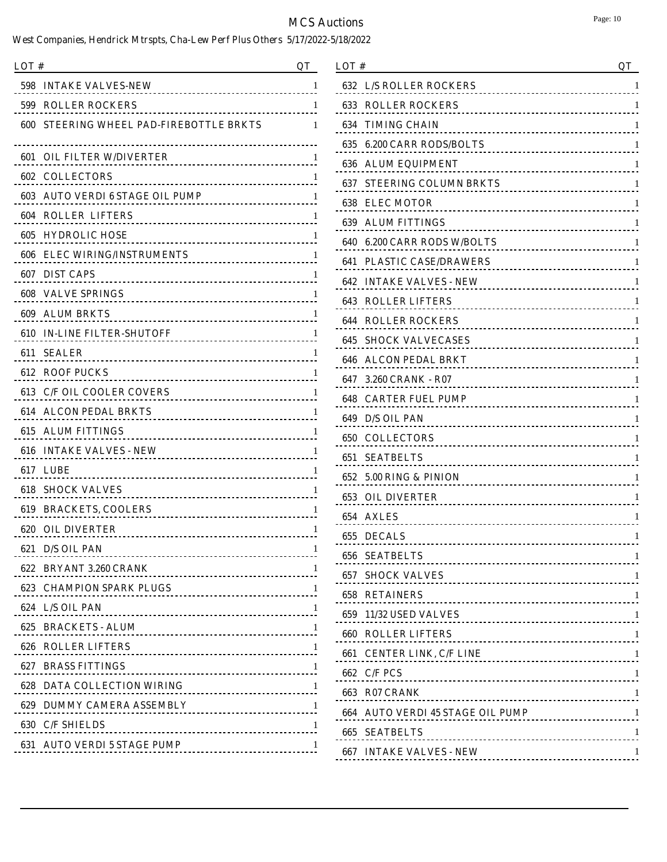| LOT #                                                                                                                                                                                                                            | OТ |
|----------------------------------------------------------------------------------------------------------------------------------------------------------------------------------------------------------------------------------|----|
| <b>INTAKE VALVES-NEW</b><br>598                                                                                                                                                                                                  | 1  |
| 599<br><b>ROLLER ROCKERS</b><br>--------------------------------                                                                                                                                                                 | 1  |
| <b>STEERING WHEEL PAD-FIREBOTTLE BRKTS</b><br>600                                                                                                                                                                                | 1  |
| <b>OIL FILTER W/DIVERTER</b><br>601 -                                                                                                                                                                                            | 1  |
| <b>602 COLLECTORS</b>                                                                                                                                                                                                            |    |
| <b>603 AUTO VERDI 6 STAGE OIL PUMP</b>                                                                                                                                                                                           | 1  |
| 604 ROLLER LIFTERS                                                                                                                                                                                                               |    |
| <b>HYDROLIC HOSE</b><br>605<br>                                                                                                                                                                                                  | 1  |
| <b>606 ELEC WIRING/INSTRUMENTS</b><br>.<br>-----------------------------                                                                                                                                                         |    |
| 607 DIST CAPS                                                                                                                                                                                                                    | 1  |
| 608 VALVE SPRINGS                                                                                                                                                                                                                |    |
| <b>609 ALUM BRKTS</b><br>                                                                                                                                                                                                        | 1  |
| <b>610 IN-LINE FILTER-SHUTOFF</b>                                                                                                                                                                                                |    |
| 611 SEALER                                                                                                                                                                                                                       | 1  |
| <b>612 ROOF PUCKS</b>                                                                                                                                                                                                            |    |
| 613 C/F OIL COOLER COVERS                                                                                                                                                                                                        | 1  |
| 614 ALCON PEDAL BRKTS<br>                                                                                                                                                                                                        |    |
| 615 ALUM FITTINGS<br>                                                                                                                                                                                                            | 1  |
| 616 INTAKE VALVES - NEW<br>THE CONSTRUCT OF A LIMIT CONTROL CONTROL CONTROL CONTROL CONTROL CONTROL CONTROL CONTROL CONTROL CONTROL CONTROL CONTROL CONTROL CONTROL CONTROL CONTROL CONTROL CONTROL CONTROL CONTROL CONTROL CONT |    |
| 617 LUBE                                                                                                                                                                                                                         | 1  |
| <b>618 SHOCK VALVES</b>                                                                                                                                                                                                          |    |
| 619 BRACKETS, COOLERS                                                                                                                                                                                                            | 1  |
| <b>620 OIL DIVERTER</b>                                                                                                                                                                                                          | 1  |
| 621 D/S OIL PAN<br>---------------------------------                                                                                                                                                                             | 1  |
| 622 BRYANT 3.260 CRANK                                                                                                                                                                                                           | 1  |
| 623 CHAMPION SPARK PLUGS 1                                                                                                                                                                                                       |    |
| 624 L/S OIL PAN                                                                                                                                                                                                                  |    |
| 625 BRACKETS - ALUM                                                                                                                                                                                                              |    |
| <b>626 ROLLER LIFTERS</b>                                                                                                                                                                                                        |    |
| 627 BRASS FITTINGS                                                                                                                                                                                                               |    |
| <b>628 DATA COLLECTION WIRING</b>                                                                                                                                                                                                |    |
| 629 DUMMY CAMERA ASSEMBLY 1                                                                                                                                                                                                      |    |
| <b>630 C/F SHIELDS</b>                                                                                                                                                                                                           |    |
| <b>631 AUTO VERDI 5 STAGE PUMP</b><br>---------------------------                                                                                                                                                                | -1 |
|                                                                                                                                                                                                                                  |    |

| LOT#                                                              | QT |
|-------------------------------------------------------------------|----|
| <b>632 L/S ROLLER ROCKERS</b>                                     | 1  |
| 633<br><b>ROLLER ROCKERS</b><br>                                  | 1  |
| 634<br><b>TIMING CHAIN</b><br>                                    | 1  |
| <b>6.200 CARR RODS/BOLTS</b><br>635                               | 1  |
| <b>ALUM EQUIPMENT</b><br>636<br>-----------------------------     | 1  |
| 637<br><b>STEERING COLUMN BRKTS</b>                               | 1  |
| <b>ELEC MOTOR</b><br>638<br>------------------------------------- | 1  |
| <b>ALUM FITTINGS</b><br>639<br>                                   | 1  |
| 640 6.200 CARR RODS W/BOLTS                                       | 1  |
| <b>641 PLASTIC CASE/DRAWERS</b>                                   | 1  |
| <b>INTAKE VALVES - NEW</b><br>642<br>---------------------------  | 1  |
| <b>ROLLER LIFTERS</b><br>643                                      | 1  |
| <b>644 ROLLER ROCKERS</b><br>-------------------------------      | 1  |
| 645<br><b>SHOCK VALVECASES</b>                                    | 1  |
| <b>ALCON PEDAL BRKT</b><br>646<br>------------------------------  | 1  |
| 3.260 CRANK - R07<br>647                                          | 1  |
| <b>CARTER FUEL PUMP</b><br>648<br>------------------------------- | 1  |
| <b>D/S OIL PAN</b><br>649<br>                                     | 1  |
| <b>COLLECTORS</b><br>650<br>                                      | 1  |
| <b>SEATBELTS</b><br>651                                           | 1  |
| 652 5.00 RING & PINION<br>                                        | 1  |
| 653<br><b>OIL DIVERTER</b>                                        | 1  |
| 654<br><b>AXLES</b>                                               | 1  |
| <b>DECALS</b><br>655<br><u>.</u>                                  | 1  |
| <b>656 SEATBELTS</b>                                              | 1  |
| <b>657 SHOCK VALVES</b>                                           |    |
| <b>658 RETAINERS</b>                                              | -1 |
| 659 11/32 USED VALVES                                             |    |
| <b>660 ROLLER LIFTERS</b>                                         |    |
| 661 CENTER LINK, C/F LINE 1                                       |    |
| <b>662 C/F PCS</b>                                                |    |
| <b>663 R07 CRANK</b>                                              |    |
| 664 AUTO VERDI 45 STAGE OIL PUMP 1                                |    |
| <b>665 SEATBELTS</b>                                              |    |
| <b>667 INTAKE VALVES - NEW</b>                                    |    |
|                                                                   |    |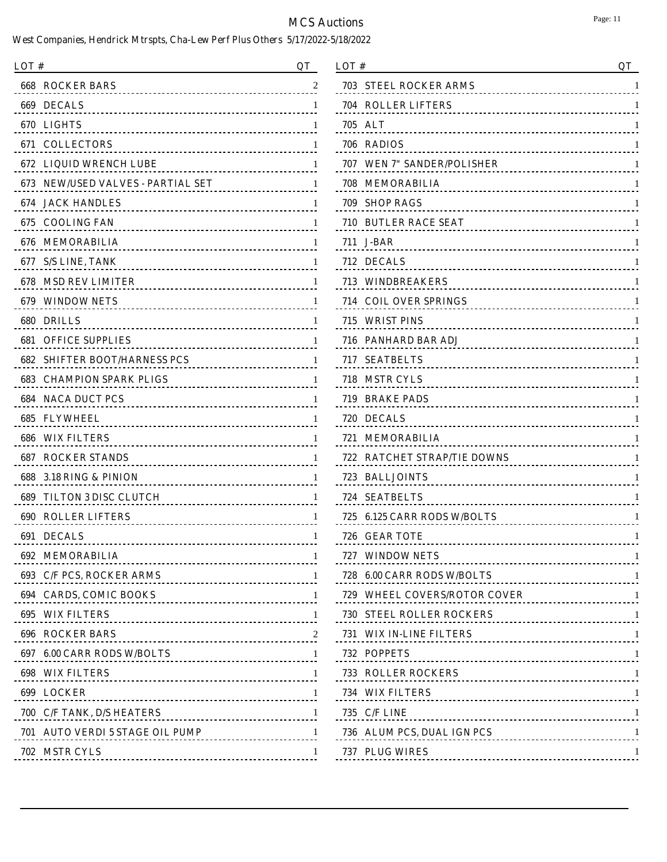| LOT#                                   | QT                                                |
|----------------------------------------|---------------------------------------------------|
| <b>ROCKER BARS</b><br>668              | 2                                                 |
| 669 DECALS                             |                                                   |
| <b>LIGHTS</b><br>670                   | 1                                                 |
| <b>671 COLLECTORS</b>                  |                                                   |
| <b>LIQUID WRENCH LUBE</b><br>672       | 1<br>.                                            |
| 673 NEW/USED VALVES - PARTIAL SET      | <u>.</u>                                          |
| <b>JACK HANDLES</b><br>674             | 1<br>-------------- <b>--------------</b>         |
| <b>COOLING FAN</b><br>675              |                                                   |
| <b>MEMORABILIA</b><br>676              | 1                                                 |
| <b>S/S LINE, TANK</b><br>677           | ------------------------------------              |
| 678<br><b>MSD REV LIMITER</b>          | 1                                                 |
| 679.<br><b>WINDOW NETS</b>             |                                                   |
| <b>DRILLS</b><br>680                   | 1                                                 |
| <b>OFFICE SUPPLIES</b><br>681          |                                                   |
| <b>SHIFTER BOOT/HARNESS PCS</b><br>682 | 1<br>.                                            |
| <b>CHAMPION SPARK PLIGS</b><br>683     |                                                   |
| <b>NACA DUCT PCS</b><br>684            | 1                                                 |
| <b>FLYWHEEL</b><br>685                 |                                                   |
| <b>WIX FILTERS</b><br>686              | 1                                                 |
| <b>ROCKER STANDS</b><br>687            |                                                   |
| 3.18 RING & PINION<br>688              | 1                                                 |
| 689<br><b>TILTON 3 DISC CLUTCH</b>     | L                                                 |
| 690<br><b>ROLLER LIFTERS</b>           | 1                                                 |
| 691<br><b>DECALS</b>                   | 1<br>                                             |
| <b>692 MEMORABILIA</b>                 | 1                                                 |
| 693 C/F PCS, ROCKER ARMS               | 1                                                 |
| 694 CARDS, COMIC BOOKS                 | -1                                                |
| <b>695 WIX FILTERS</b>                 | 1                                                 |
| <b>696 ROCKER BARS</b>                 |                                                   |
| 697 6.00 CARR RODS W/BOLTS             | ------------------------------------ <sup>1</sup> |
| <b>698 WIX FILTERS</b>                 | -1                                                |
| 699 LOCKER                             | 1                                                 |
| 700 C/F TANK, D/S HEATERS              | -1                                                |
| 701 AUTO VERDI 5 STAGE OIL PUMP        |                                                   |
| 702 MSTR CYLS                          |                                                   |
|                                        |                                                   |

| LOT#                                       | QT |
|--------------------------------------------|----|
| <b>STEEL ROCKER ARMS</b><br>703            | 1  |
| 704<br><b>ROLLER LIFTERS</b><br>           | 1  |
| 705<br><b>ALT</b>                          | 1  |
| 706<br>RADIOS<br>                          | 1  |
| 707 WEN 7" SANDER/POLISHER                 | 1  |
| 708<br>MEMORABILIA                         | 1  |
| 709<br><b>SHOP RAGS</b><br>                | 1  |
| 710 BUTLER RACE SEAT                       | 1  |
| 711 J-BAR                                  | 1  |
| 712 DECALS<br>                             | 1  |
| <b>713 WINDBREAKERS</b><br>                | 1  |
| <b>COIL OVER SPRINGS</b><br>714            | 1  |
| 715 WRIST PINS                             | 1  |
| 716 PANHARD BAR ADJ                        | 1  |
| <b>SEATBELTS</b><br>717<br>                | 1  |
| <b>MSTR CYLS</b><br>718                    | 1  |
| 719 BRAKE PADS<br>                         | 1  |
| 720 DECALS<br>                             | 1  |
| 721 MEMORABILIA                            | 1  |
| <b>RATCHET STRAP/TIE DOWNS</b><br>722      | 1  |
| 723.<br><b>BALLJOINTS</b><br><u></u>       | 1  |
| <b>SEATBELTS</b><br>724                    | 1  |
| <b>6.125 CARR RODS W/BOLTS</b><br>725<br>. | 1  |
| <b>GEAR TOTE</b><br>726-<br><u>.</u>       | 1  |
| 727 WINDOW NETS                            | 1  |
| 728 6.00 CARR RODS W/BOLTS 1               |    |
| 729 WHEEL COVERS/ROTOR COVER 11            |    |
| <b>730 STEEL ROLLER ROCKERS</b>            |    |
| 731 WIX IN-LINE FILTERS 1                  |    |
| 732 POPPETS                                |    |
| <b>733 ROLLER ROCKERS</b>                  |    |
| 734 WIX FILTERS                            |    |
| 735 C/F LINE                               | -1 |
| 736 ALUM PCS, DUAL IGN PCS 1               |    |
| 737 PLUG WIRES                             |    |
|                                            |    |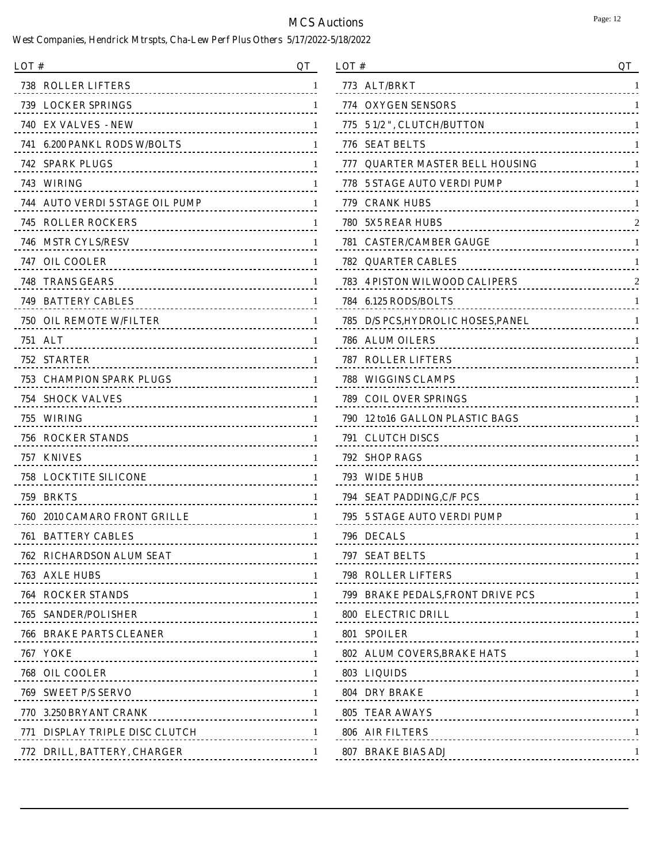| LOT#                                                   | OТ           |
|--------------------------------------------------------|--------------|
| 738 - ROLLER LIFTERS                                   | 1            |
| <b>739 LOCKER SPRINGS</b>                              | 1            |
| 740 EX VALVES - NEW<br>------------------------------- | 1            |
| 741    6.200 PANKL RODS W/BOLTS                        | 1            |
| 742 SPARK PLUGS                                        | 1            |
| 743 WIRING                                             | 1            |
| 744 AUTO VERDI 5 STAGE OIL PUMP                        | 1            |
| <b>745 ROLLER ROCKERS</b>                              | 1            |
| 746   MSTR CYLS/RESV                                   | 1            |
| 747 OIL COOLER                                         | 1            |
| 748 TRANS GEARS                                        | 1            |
| 749   BATTERY CABLES                                   | 1            |
| <b>750 OIL REMOTE W/FILTER</b>                         | 1            |
| 751 ALT                                                | 1            |
| <b>752 STARTER</b>                                     | 1            |
| 753   CHAMPION SPARK PLUGS                             | -1           |
| <b>754   SHOCK VALVES</b>                              | 1            |
| 755 WIRING                                             | 1            |
| 756 ROCKER STANDS                                      | 1            |
| 757 KNIVES                                             | 1            |
| 758 LOCKTITE SILICONE                                  | 1            |
| 759 BRKTS<br><u></u>                                   | 1            |
| 760 - 2010 CAMARO FRONT GRILLE                         | 1            |
| <b>761 BATTERY CABLES</b>                              | 1            |
| 762 RICHARDSON ALUM SEAT                               | -1           |
| 763 AXLE HUBS 1                                        |              |
| <b>764 ROCKER STANDS</b>                               | -1           |
|                                                        |              |
| <b>766 BRAKE PARTS CLEANER</b>                         |              |
| 767 YOKE 1                                             |              |
| 768 OIL COOLER                                         | -1           |
| 769 SWEET P/S SERVO                                    | $\mathbf{1}$ |
| <b>770 3.250 BRYANT CRANK</b>                          |              |
| 771 DISPLAY TRIPLE DISC CLUTCH 1                       |              |
| 772 DRILL, BATTERY, CHARGER                            |              |
|                                                        |              |

| LOT#                                                                       | QT |
|----------------------------------------------------------------------------|----|
| 773<br><b>ALT/BRKT</b>                                                     | 1  |
| 774<br><b>OXYGEN SENSORS</b><br><u></u>                                    | 1  |
| 775<br>5 1/2 ", CLUTCH/BUTTON                                              |    |
| 776<br><b>SEAT BELTS</b>                                                   |    |
| <b>QUARTER MASTER BELL HOUSING</b><br>777                                  |    |
| 778<br><b>5 STAGE AUTO VERDI PUMP</b><br><u> - - - - - - - - - - - - -</u> | 1  |
| 779.<br><b>CRANK HUBS</b>                                                  |    |
| 780<br><b>5X5 REAR HUBS</b><br><u></u>                                     | 2  |
| 781 CASTER/CAMBER GAUGE                                                    | 1  |
| <b>QUARTER CABLES</b><br>782<br><u></u>                                    | 1  |
| 783<br><b>4 PISTON WILWOOD CALIPERS</b><br><u>.</u>                        |    |
| 784<br><b>6.125 RODS/BOLTS</b><br>.                                        | 1  |
| D/S PCS, HYDROLIC HOSES, PANEL<br>785<br><u>.</u>                          | 1  |
| 786<br><b>ALUM OILERS</b><br><u></u>                                       |    |
| 787<br><b>ROLLER LIFTERS</b>                                               |    |
| 788<br><b>WIGGINS CLAMPS</b>                                               |    |
| 789<br><b>COIL OVER SPRINGS</b><br><u></u>                                 |    |
| 12 to16 GALLON PLASTIC BAGS<br>790                                         |    |
| 791<br><b>CLUTCH DISCS</b><br><u></u>                                      |    |
| 792<br><b>SHOP RAGS</b>                                                    |    |
| 793<br>WIDE 5 HUB                                                          |    |
| 794<br><b>SEAT PADDING, C/F PCS</b>                                        | 1  |
| 795<br><b>5 STAGE AUTO VERDI PUMP</b><br><u>.</u>                          |    |
| 796 DECALS                                                                 | 1  |
| 797 SEAT BELTS<br>--------------------------------                         | 1  |
| <b>798 ROLLER LIFTERS</b>                                                  |    |
| 799 BRAKE PEDALS, FRONT DRIVE PCS 1                                        |    |
| 800 ELECTRIC DRILL                                                         |    |
| 801 SPOILER                                                                |    |
| 802 ALUM COVERS, BRAKE HATS 1                                              |    |
| <b>803 LIQUIDS</b>                                                         |    |
| 804 DRY BRAKE                                                              |    |
| 805 TEAR AWAYS                                                             |    |
| 806 AIR FILTERS                                                            |    |
| 807 BRAKE BIAS ADJ                                                         |    |
|                                                                            |    |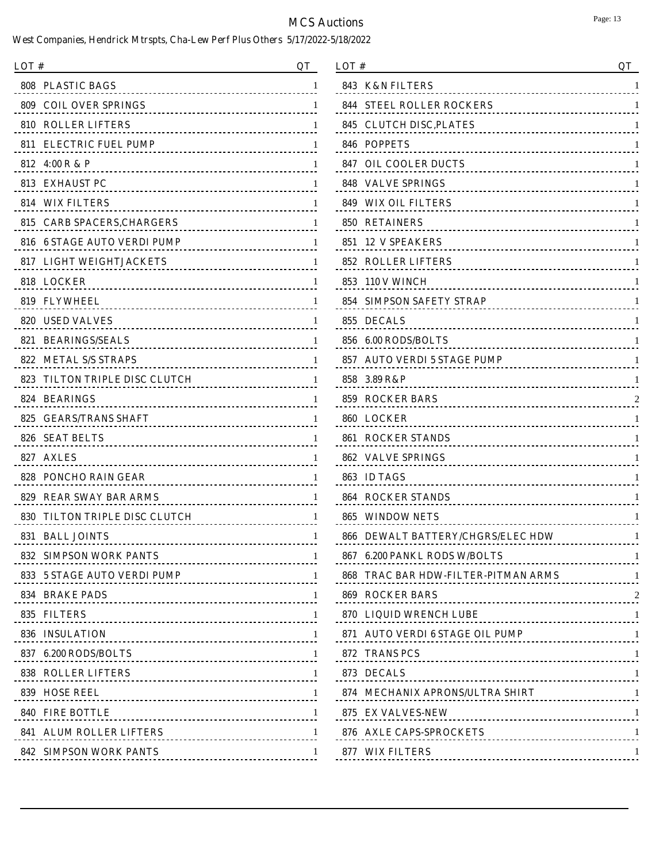| LOT #                                                          | OТ |
|----------------------------------------------------------------|----|
| 808<br><b>PLASTIC BAGS</b><br>------------------------------   | 1  |
| 809<br><b>COIL OVER SPRINGS</b>                                |    |
| <b>810 ROLLER LIFTERS</b>                                      | 1  |
| <b>ELECTRIC FUEL PUMP</b><br>811<br><u></u>                    | 1  |
| 812 4:00 R & P<br><u></u>                                      | 1  |
| 813.<br><b>EXHAUST PC</b><br>--------------------------------- | 1  |
| 814 WIX FILTERS                                                | 1  |
| 815<br><b>CARB SPACERS, CHARGERS</b><br>.                      | 1  |
| 816 6 STAGE AUTO VERDI PUMP<br>.                               | 1  |
| <b>LIGHT WEIGHTJACKETS</b><br>817<br><u>.</u>                  | 1  |
| 818 LOCKER<br>----------------------------------               | 1  |
| 819<br>FLYWHEEL<br>----------------------------------          | 1  |
| 820 USED VALVES                                                | 1  |
| <b>BEARINGS/SEALS</b><br>821<br>______________________________ | 1  |
| <b>METAL S/S STRAPS</b><br>822                                 | 1  |
| TILTON TRIPLE DISC CLUTCH<br>823<br><u>.</u>                   | 1  |
| 824 BEARINGS<br><u></u>                                        | 1  |
| <b>GEARS/TRANS SHAFT</b><br>825                                | 1  |
| 826 SEAT BELTS<br><u></u>                                      | 1  |
| 827<br><b>AXLES</b><br>                                        | 1  |
| PONCHO RAIN GEAR<br>828                                        | 1  |
| 829<br><b>REAR SWAY BAR ARMS</b><br><u>-------------------</u> | 1  |
| 830<br>TILTON TRIPLE DISC CLUTCH                               | 1  |
| 831<br><b>BALL JOINTS</b>                                      | 1  |
| 832 SIMPSON WORK PANTS                                         | -1 |
| 833 5 STAGE AUTO VERDI PUMP                                    | -1 |
| <b>834 BRAKE PADS</b>                                          | -1 |
| 835 FILTERS                                                    | -1 |
| 836 INSULATION                                                 | -1 |
| 837 6.200 RODS/BOLTS                                           | -1 |
| <b>838 ROLLER LIFTERS</b>                                      | -1 |
|                                                                | -1 |
| <b>840 FIRE BOTTLE</b>                                         | -1 |
| <b>841 ALUM ROLLER LIFTERS</b>                                 | -1 |
| <b>842 SIMPSON WORK PANTS</b>                                  | -1 |
|                                                                |    |

| LOT#                                              | QT |
|---------------------------------------------------|----|
| 843<br><b>K&amp;N FILTERS</b>                     | 1  |
| 844<br><b>STEEL ROLLER ROCKERS</b>                | 1  |
| 845<br><b>CLUTCH DISC, PLATES</b>                 | 1  |
| <b>POPPETS</b><br>846                             | 1  |
| 847<br><b>OIL COOLER DUCTS</b>                    | 1  |
| 848<br><b>VALVE SPRINGS</b>                       | 1  |
| 849<br><b>WIX OIL FILTERS</b>                     | 1  |
| 850<br><b>RETAINERS</b>                           | 1  |
| 851 12 V SPEAKERS                                 | 1  |
| 852<br><b>ROLLER LIFTERS</b>                      | 1  |
| 853<br>110 V WINCH<br>                            | 1  |
| <b>SIMPSON SAFETY STRAP</b><br>854                | 1  |
| 855<br><b>DECALS</b>                              | 1  |
| 856<br><b>6.00 RODS/BOLTS</b>                     | 1  |
| <b>AUTO VERDI 5 STAGE PUMP</b><br>857<br>.        | 1  |
| 858<br>3.89 R&P<br><u>----------------------</u>  | 1  |
| 859<br><b>ROCKER BARS</b><br>                     |    |
| 860 LOCKER<br><u>----------------------------</u> | 1  |
| <b>861 ROCKER STANDS</b><br>                      | 1  |
| <b>VALVE SPRINGS</b><br>862<br><u></u>            | 1  |
| 863<br><b>ID TAGS</b>                             | 1  |
| 864<br><b>ROCKER STANDS</b>                       | 1  |
| 865<br><b>WINDOW NETS</b>                         | 1  |
| <b>DEWALT BATTERY/CHGRS/ELEC HDW</b><br>866       | 1  |
| 867 6.200 PANKL RODS W/BOLTS                      | 1  |
| 868 TRAC BAR HDW-FILTER-PITMAN ARMS 1             |    |
| 869 ROCKER BARS                                   |    |
|                                                   |    |
| 871 AUTO VERDI 6 STAGE OIL PUMP 1                 |    |
| 872 TRANS PCS                                     |    |
| 873 DECALS                                        |    |
| 874 MECHANIX APRONS/ULTRA SHIRT 1                 |    |
| 875 EX VALVES-NEW                                 |    |
| 876 AXLE CAPS-SPROCKETS                           | -1 |
| 877 WIX FILTERS                                   | 1  |
|                                                   |    |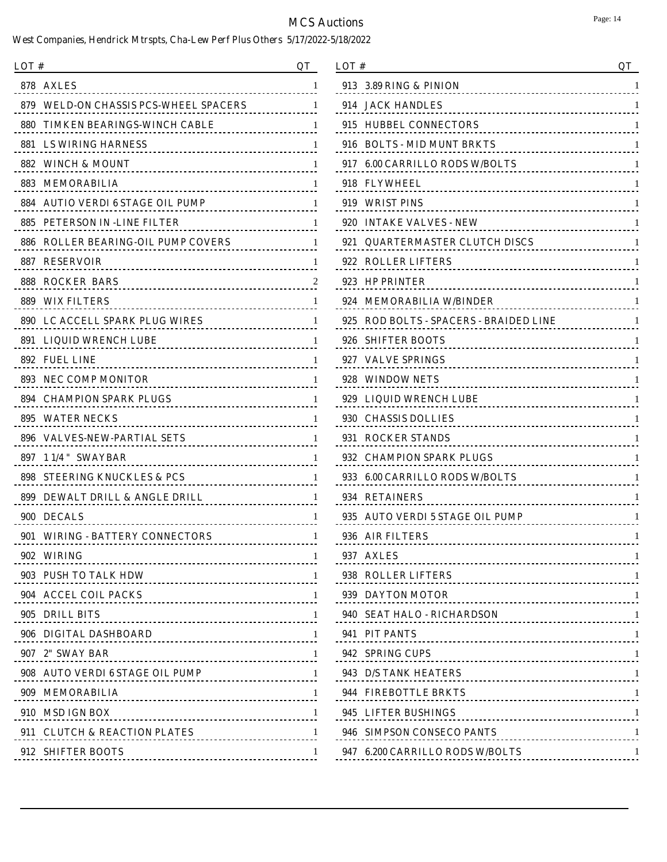| LOT #                                                            | OТ |
|------------------------------------------------------------------|----|
| 878 AXLES<br><u></u>                                             | 1  |
| 879 WELD-ON CHASSIS PCS-WHEEL SPACERS                            | 1  |
| 880 -<br>TIMKEN BEARINGS-WINCH CABLE<br>.                        | 1  |
| 881 – LS WIRING HARNESS                                          | 1  |
| 882 WINCH & MOUNT<br>---------------------------------           | 1  |
| 883 MEMORABILIA<br>                                              | 1  |
| 884 AUTIO VERDI 6 STAGE OIL PUMP                                 | 1  |
| 885.<br>PETERSON IN -LINE FILTER<br>.                            | 1  |
| 886 ROLLER BEARING-OIL PUMP COVERS<br><u>.</u>                   | 1  |
| <b>887 RESERVOIR</b>                                             | 1  |
| <b>888 ROCKER BARS</b><br>-----------------------------------    |    |
| 889 – WIX FILTERS<br>                                            | 1  |
| <b>890 LC ACCELL SPARK PLUG WIRES</b>                            | 1  |
| <b>891 LIQUID WRENCH LUBE</b>                                    | 1  |
| 892 FUEL LINE                                                    | 1  |
| 893 NEC COMP MONITOR                                             | 1  |
| <b>894 CHAMPION SPARK PLUGS</b><br>----------------------------- | 1  |
| <b>895 WATER NECKS</b>                                           | 1  |
| 896 VALVES-NEW-PARTIAL SETS                                      | 1  |
| 1 1/4 " SWAYBAR<br>897                                           | 1  |
| 898<br><b>STEERING KNUCKLES &amp; PCS</b>                        | 1  |
| 899 DEWALT DRILL & ANGLE DRILL<br><u></u>                        | 1  |
| 900 DECALS<br>                                                   | 1  |
| <b>WIRING - BATTERY CONNECTORS</b><br>901                        | 1  |
| 902 WIRING                                                       | -1 |
| 903 PUSH TO TALK HDW 1                                           |    |
| 904 ACCEL COIL PACKS                                             |    |
| 905 DRILL BITS 1                                                 |    |
| 906 DIGITAL DASHBOARD                                            |    |
| 907 2" SWAY BAR 1 2007 2" SWAY BAR                               |    |
| 908 AUTO VERDI 6 STAGE OIL PUMP 1                                |    |
| 909 MEMORABILIA 1                                                |    |
| 910 MSD IGN BOX                                                  | -1 |
| 911 CLUTCH & REACTION PLATES 1                                   |    |
| 912 SHIFTER BOOTS                                                | -1 |

| LOT#                                                              | QT |
|-------------------------------------------------------------------|----|
| 913<br>3.89 RING & PINION<br>                                     | 1  |
| 914<br><b>JACK HANDLES</b>                                        | 1  |
| <b>HUBBEL CONNECTORS</b><br>915                                   | 1  |
| <b>BOLTS - MID MUNT BRKTS</b><br>916                              | 1  |
| <b>6.00 CARRILLO RODS W/BOLTS</b><br>917<br>                      | 1  |
| 918 -<br><b>FLYWHEEL</b>                                          | 1  |
| 919<br><b>WRIST PINS</b><br>                                      | 1  |
| <b>INTAKE VALVES - NEW</b><br>920                                 | 1  |
| <b>OUARTERMASTER CLUTCH DISCS</b><br>921<br>.                     | 1  |
| <b>ROLLER LIFTERS</b><br>922<br>                                  | 1  |
| <b>HP PRINTER</b><br>923<br>------------------------------------- | 1  |
| 924<br><b>MEMORABILIA W/BINDER</b>                                | 1  |
| <b>ROD BOLTS - SPACERS - BRAIDED LINE</b><br>925<br><u>.</u>      | 1  |
| 926<br><b>SHIFTER BOOTS</b><br>                                   | 1  |
| 927<br><b>VALVE SPRINGS</b><br>                                   | 1  |
| 928<br><b>WINDOW NETS</b>                                         | 1  |
| <b>LIQUID WRENCH LUBE</b><br>929<br><u></u>                       | 1  |
| 930<br><b>CHASSIS DOLLIES</b><br>------------------------------   | 1  |
| <b>ROCKER STANDS</b><br>931<br>                                   | 1  |
| 932<br><b>CHAMPION SPARK PLUGS</b>                                | 1  |
| <b>6.00 CARRILLO RODS W/BOLTS</b><br>933<br>.                     | 1  |
| 934<br><b>RETAINERS</b><br>                                       | 1  |
| <b>AUTO VERDI 5 STAGE OIL PUMP</b><br>935<br><u></u>              | 1  |
| 936<br><b>AIR FILTERS</b><br>                                     | 1  |
| 937 AXLES<br>---------------------------------                    | 1  |
| 938 ROLLER LIFTERS<br>-------------------------------------       |    |
| 939 DAYTON MOTOR                                                  | -1 |
| 940 SEAT HALO - RICHARDSON 1                                      |    |
| 941 PIT PANTS                                                     |    |
| 942 SPRING CUPS                                                   |    |
| 943 D/S TANK HEATERS                                              | -1 |
| 944 FIREBOTTLE BRKTS                                              |    |
| 945 LIFTER BUSHINGS                                               | -1 |
| 946 SIMPSON CONSECO PANTS                                         | -1 |
| 947 6.200 CARRILLO RODS W/BOLTS                                   | -1 |
|                                                                   |    |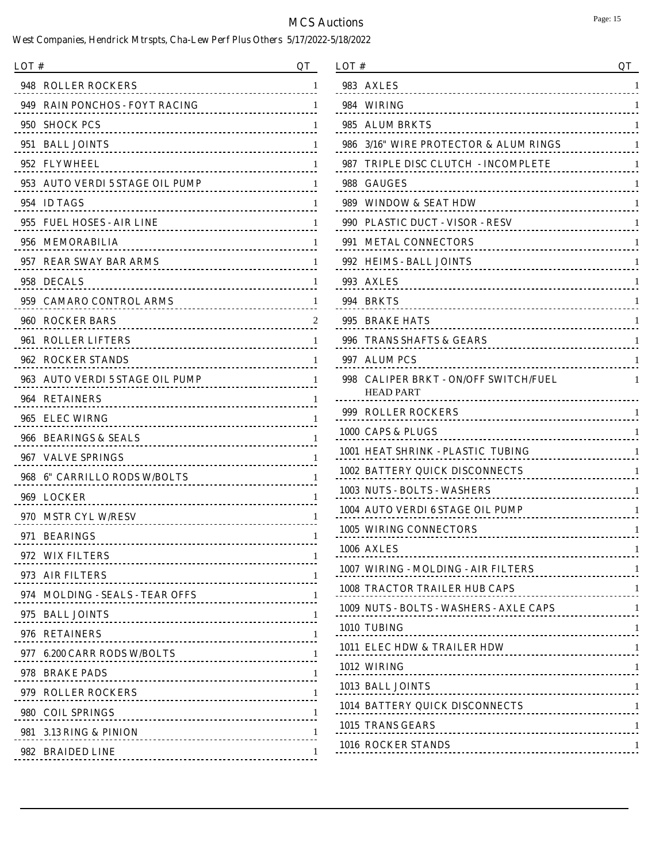| LOT #                              | OТ           |
|------------------------------------|--------------|
| 948 ROLLER ROCKERS                 | 1            |
| 949 RAIN PONCHOS - FOYT RACING     | 1            |
| 950 SHOCK PCS                      | 1            |
| 951 BALL JOINTS                    | 1            |
| 952 FLYWHEEL                       | $\mathbf{I}$ |
| 953 AUTO VERDI 5 STAGE OIL PUMP    | 1            |
| 954 ID TAGS                        | $\mathbf{I}$ |
| 955 FUEL HOSES - AIR LINE          | 1            |
| 956 MEMORABILIA                    | $\mathbf{I}$ |
| 957 REAR SWAY BAR ARMS             | 1            |
| 958 DECALS                         | $\mathbf{I}$ |
| 959 CAMARO CONTROL ARMS            | 1            |
| 960 ROCKER BARS                    | $\mathbf{z}$ |
| 961 ROLLER LIFTERS                 | 1            |
| 962 ROCKER STANDS                  |              |
| 963 AUTO VERDI 5 STAGE OIL PUMP    | 1            |
| 964 RETAINERS                      |              |
| 965 ELEC WIRNG                     | 1            |
| 966 BEARINGS & SEALS               |              |
| 967 VALVE SPRINGS                  | 1            |
| 968 6" CARRILLO RODS W/BOLTS       | 1            |
| 969 LOCKER                         | 1            |
| 970 MSTR CYL W/RESV                |              |
| <b>BEARINGS</b><br>971<br><u>.</u> | 1            |
| 972 WIX FILTERS                    | $\perp$      |
| 973 AIR FILTERS 1                  |              |
| 974 MOLDING - SEALS - TEAR OFFS 1  |              |
| 975 BALL JOINTS 1                  |              |
| 976 RETAINERS                      |              |
| 977 6.200 CARR RODS W/BOLTS 1      |              |
| 978 BRAKE PADS 1                   |              |
| 979 ROLLER ROCKERS 1               |              |
| 980 COIL SPRINGS 1                 |              |
| 981 3.13 RING & PINION             | $\perp$      |
| 982 BRAIDED LINE                   | 1            |
|                                    |              |

| LOT #                                           | QT                                        |
|-------------------------------------------------|-------------------------------------------|
| 983.<br><b>AXLES</b>                            | 1                                         |
| 984<br>WIRING                                   | 1<br><u>.</u>                             |
| 985<br><b>ALUM BRKTS</b>                        | <u></u>                                   |
| 986                                             | 3/16" WIRE PROTECTOR & ALUM RINGS<br>1    |
| 987<br>TRIPLE DISC CLUTCH  - INCOMPLETE         | 1                                         |
| 988<br><b>GAUGES</b>                            | 1                                         |
| 989<br>WINDOW & SEAT HDW                        | 1                                         |
| <b>PLASTIC DUCT - VISOR - RESV</b><br>990       | 1                                         |
| 991<br><b>METAL CONNECTORS</b>                  | 1                                         |
| 992<br><b>HEIMS - BALL JOINTS</b>               | 1                                         |
| 993<br><b>AXLES</b>                             | 1<br><u></u>                              |
| 994<br><b>BRKTS</b>                             | 1<br><u>---------------------</u>         |
| 995<br><b>BRAKE HATS</b>                        | 1                                         |
| 996<br>TRANS SHAFTS & GEARS                     | 1                                         |
| 997<br><b>ALUM PCS</b>                          | 1<br>                                     |
| <b>CALIPER BRKT - ON/OFF SWITCH/FUEL</b><br>998 | 1                                         |
| <b>HEAD PART</b>                                |                                           |
| 999-<br><b>ROLLER ROCKERS</b>                   |                                           |
| 1000  CAPS & PLUGS                              | 1                                         |
| 1001 HEAT SHRINK - PLASTIC TUBING               | 1                                         |
| <b>1002 BATTERY QUICK DISCONNECTS</b>           | 1                                         |
| 1003  NUTS - BOLTS - WASHERS                    | 1<br><u>.</u>                             |
| 1004   AUTO VERDI 6 STAGE OIL PUMP              | 1                                         |
| 1005   WIRING CONNECTORS                        | 1                                         |
| 1006 AXLES                                      | 1                                         |
| 1007 WIRING - MOLDING - AIR FILTERS             | RS 1                                      |
| <b>1008 TRACTOR TRAILER HUB CAPS</b>            |                                           |
|                                                 | 1009 NUTS - BOLTS - WASHERS - AXLE CAPS 1 |
| 1010 TUBING                                     |                                           |
|                                                 | 1011 ELEC HDW & TRAILER HDW 1             |
| 1012 WIRING                                     |                                           |
| 1013 BALL JOINTS                                |                                           |
|                                                 |                                           |
| 1015 TRANS GEARS                                |                                           |
| 1016 ROCKER STANDS                              |                                           |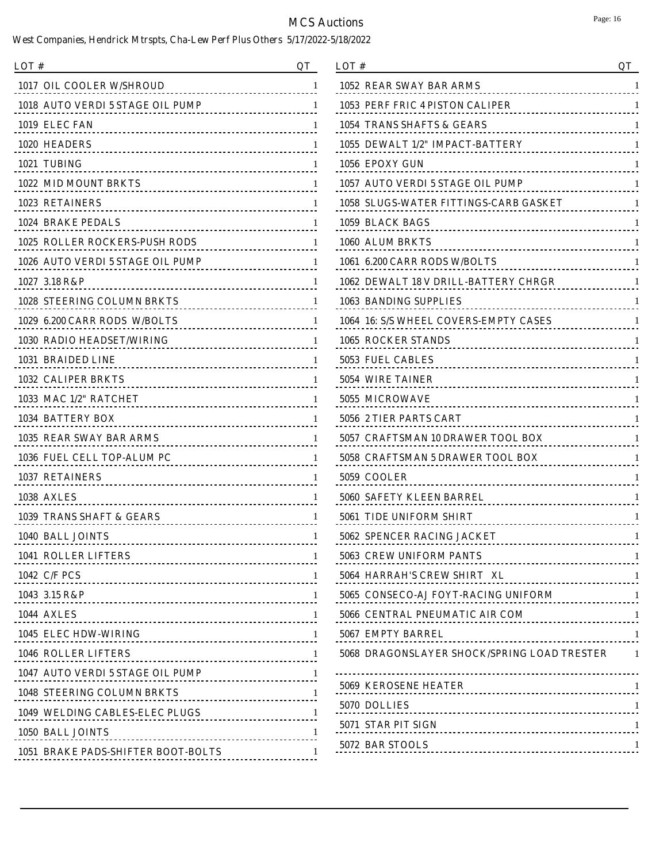$\overline{\phantom{a}}$ 

| <b>1017 OIL COOLER W/SHROUD</b><br>1052 REAR SWAY BAR ARMS<br>1018 AUTO VERDI 5 STAGE OIL PUMP<br>1053 PERF FRIC 4 PISTON CALIPER<br>1019 ELEC FAN<br>1054 TRANS SHAFTS & GEARS<br>1020 HEADERS<br>1055 DEWALT 1/2" IMPACT-BATTERY<br>1021 TUBING<br>1056 EPOXY GUN<br>1057 AUTO VERDI 5 STAGE OIL PUMP<br>1022 MID MOUNT BRKTS<br>1023 RETAINERS<br><b>1058 SLUGS-WATER FITTINGS-CARB GASKET</b><br>1024 BRAKE PEDALS<br>1059 BLACK BAGS<br><b>1025 ROLLER ROCKERS-PUSH RODS</b><br>1060 ALUM BRKTS<br>1026 AUTO VERDI 5 STAGE OIL PUMP<br>1061 6.200 CARR RODS W/BOLTS<br>1062 DEWALT 18 V DRILL-BATTERY CHRGR<br>1027 3.18 R&P<br><b>1028 STEERING COLUMN BRKTS</b><br>1063 BANDING SUPPLIES<br>.<br>1029 6.200 CARR RODS W/BOLTS<br>1064 16: S/S WHEEL COVERS-EMPTY CASES<br>1030 RADIO HEADSET/WIRING<br>1065 ROCKER STANDS<br>.<br>1031 BRAIDED LINE<br>5053 FUEL CABLES<br>5054 WIRE TAINER<br><b>1032 CALIPER BRKTS</b><br>1033 MAC 1/2" RATCHET<br>5055 MICROWAVE<br>1034 BATTERY BOX<br>5056 2 TIER PARTS CART<br><u></u><br>1035 REAR SWAY BAR ARMS<br>5057 CRAFTSMAN 10 DRAWER TOOL BOX<br>.<br>1036 FUEL CELL TOP-ALUM PC<br>5058 CRAFTSMAN 5 DRAWER TOOL BOX<br>1037 RETAINERS<br>5059 COOLER<br><b>1038 AXLES</b><br>5060 SAFETY KLEEN BARREL<br>1039 TRANS SHAFT & GEARS<br><b>5061 TIDE UNIFORM SHIRT</b><br>1040 BALL JOINTS<br>5062 SPENCER RACING JACKET<br><b>1041 ROLLER LIFTERS</b><br><b>5063 CREW UNIFORM PANTS</b><br>1<br>5064 HARRAH'S CREW SHIRT XL<br><b>1042 C/F PCS</b><br>-1<br><u></u><br>5065 CONSECO-AJ FOYT-RACING UNIFORM<br>1043 3.15 R&P<br><b>1044 AXLES</b><br>5066 CENTRAL PNEUMATIC AIR COM<br>.<br>1045 ELEC HDW-WIRING<br>5067 EMPTY BARREL<br>-------------------------------------<br>5068 DRAGONSLAYER SHOCK/SPRING LOAD TRESTER<br><b>1046 ROLLER LIFTERS</b><br>$\mathbf{1}$<br>----------------------------------<br>1047 AUTO VERDI 5 STAGE OIL PUMP<br><b>5069 KEROSENE HEATER</b><br>------------------------------------<br><b>1048 STEERING COLUMN BRKTS</b><br><u> ------------------------</u><br>5070 DOLLIES<br>1049 WELDING CABLES-ELEC PLUGS<br><u></u><br>5071 STAR PIT SIGN<br>1050 BALL JOINTS<br>------------------------------------<br>5072 BAR STOOLS<br><b>1051 BRAKE PADS-SHIFTER BOOT-BOLTS</b> | LOT # | QT | LOT# | QT           |
|--------------------------------------------------------------------------------------------------------------------------------------------------------------------------------------------------------------------------------------------------------------------------------------------------------------------------------------------------------------------------------------------------------------------------------------------------------------------------------------------------------------------------------------------------------------------------------------------------------------------------------------------------------------------------------------------------------------------------------------------------------------------------------------------------------------------------------------------------------------------------------------------------------------------------------------------------------------------------------------------------------------------------------------------------------------------------------------------------------------------------------------------------------------------------------------------------------------------------------------------------------------------------------------------------------------------------------------------------------------------------------------------------------------------------------------------------------------------------------------------------------------------------------------------------------------------------------------------------------------------------------------------------------------------------------------------------------------------------------------------------------------------------------------------------------------------------------------------------------------------------------------------------------------------------------------------------------------------------------------------------------------------------------------------------------------------------------------------------------------------------------------------------------------------------------------------------------------------------------------------------------------------------|-------|----|------|--------------|
|                                                                                                                                                                                                                                                                                                                                                                                                                                                                                                                                                                                                                                                                                                                                                                                                                                                                                                                                                                                                                                                                                                                                                                                                                                                                                                                                                                                                                                                                                                                                                                                                                                                                                                                                                                                                                                                                                                                                                                                                                                                                                                                                                                                                                                                                          |       |    |      |              |
|                                                                                                                                                                                                                                                                                                                                                                                                                                                                                                                                                                                                                                                                                                                                                                                                                                                                                                                                                                                                                                                                                                                                                                                                                                                                                                                                                                                                                                                                                                                                                                                                                                                                                                                                                                                                                                                                                                                                                                                                                                                                                                                                                                                                                                                                          |       |    |      |              |
|                                                                                                                                                                                                                                                                                                                                                                                                                                                                                                                                                                                                                                                                                                                                                                                                                                                                                                                                                                                                                                                                                                                                                                                                                                                                                                                                                                                                                                                                                                                                                                                                                                                                                                                                                                                                                                                                                                                                                                                                                                                                                                                                                                                                                                                                          |       |    |      |              |
|                                                                                                                                                                                                                                                                                                                                                                                                                                                                                                                                                                                                                                                                                                                                                                                                                                                                                                                                                                                                                                                                                                                                                                                                                                                                                                                                                                                                                                                                                                                                                                                                                                                                                                                                                                                                                                                                                                                                                                                                                                                                                                                                                                                                                                                                          |       |    |      |              |
|                                                                                                                                                                                                                                                                                                                                                                                                                                                                                                                                                                                                                                                                                                                                                                                                                                                                                                                                                                                                                                                                                                                                                                                                                                                                                                                                                                                                                                                                                                                                                                                                                                                                                                                                                                                                                                                                                                                                                                                                                                                                                                                                                                                                                                                                          |       |    |      |              |
|                                                                                                                                                                                                                                                                                                                                                                                                                                                                                                                                                                                                                                                                                                                                                                                                                                                                                                                                                                                                                                                                                                                                                                                                                                                                                                                                                                                                                                                                                                                                                                                                                                                                                                                                                                                                                                                                                                                                                                                                                                                                                                                                                                                                                                                                          |       |    |      |              |
|                                                                                                                                                                                                                                                                                                                                                                                                                                                                                                                                                                                                                                                                                                                                                                                                                                                                                                                                                                                                                                                                                                                                                                                                                                                                                                                                                                                                                                                                                                                                                                                                                                                                                                                                                                                                                                                                                                                                                                                                                                                                                                                                                                                                                                                                          |       |    |      |              |
|                                                                                                                                                                                                                                                                                                                                                                                                                                                                                                                                                                                                                                                                                                                                                                                                                                                                                                                                                                                                                                                                                                                                                                                                                                                                                                                                                                                                                                                                                                                                                                                                                                                                                                                                                                                                                                                                                                                                                                                                                                                                                                                                                                                                                                                                          |       |    |      |              |
|                                                                                                                                                                                                                                                                                                                                                                                                                                                                                                                                                                                                                                                                                                                                                                                                                                                                                                                                                                                                                                                                                                                                                                                                                                                                                                                                                                                                                                                                                                                                                                                                                                                                                                                                                                                                                                                                                                                                                                                                                                                                                                                                                                                                                                                                          |       |    |      |              |
|                                                                                                                                                                                                                                                                                                                                                                                                                                                                                                                                                                                                                                                                                                                                                                                                                                                                                                                                                                                                                                                                                                                                                                                                                                                                                                                                                                                                                                                                                                                                                                                                                                                                                                                                                                                                                                                                                                                                                                                                                                                                                                                                                                                                                                                                          |       |    |      |              |
|                                                                                                                                                                                                                                                                                                                                                                                                                                                                                                                                                                                                                                                                                                                                                                                                                                                                                                                                                                                                                                                                                                                                                                                                                                                                                                                                                                                                                                                                                                                                                                                                                                                                                                                                                                                                                                                                                                                                                                                                                                                                                                                                                                                                                                                                          |       |    |      |              |
|                                                                                                                                                                                                                                                                                                                                                                                                                                                                                                                                                                                                                                                                                                                                                                                                                                                                                                                                                                                                                                                                                                                                                                                                                                                                                                                                                                                                                                                                                                                                                                                                                                                                                                                                                                                                                                                                                                                                                                                                                                                                                                                                                                                                                                                                          |       |    |      |              |
|                                                                                                                                                                                                                                                                                                                                                                                                                                                                                                                                                                                                                                                                                                                                                                                                                                                                                                                                                                                                                                                                                                                                                                                                                                                                                                                                                                                                                                                                                                                                                                                                                                                                                                                                                                                                                                                                                                                                                                                                                                                                                                                                                                                                                                                                          |       |    |      |              |
|                                                                                                                                                                                                                                                                                                                                                                                                                                                                                                                                                                                                                                                                                                                                                                                                                                                                                                                                                                                                                                                                                                                                                                                                                                                                                                                                                                                                                                                                                                                                                                                                                                                                                                                                                                                                                                                                                                                                                                                                                                                                                                                                                                                                                                                                          |       |    |      |              |
|                                                                                                                                                                                                                                                                                                                                                                                                                                                                                                                                                                                                                                                                                                                                                                                                                                                                                                                                                                                                                                                                                                                                                                                                                                                                                                                                                                                                                                                                                                                                                                                                                                                                                                                                                                                                                                                                                                                                                                                                                                                                                                                                                                                                                                                                          |       |    |      |              |
|                                                                                                                                                                                                                                                                                                                                                                                                                                                                                                                                                                                                                                                                                                                                                                                                                                                                                                                                                                                                                                                                                                                                                                                                                                                                                                                                                                                                                                                                                                                                                                                                                                                                                                                                                                                                                                                                                                                                                                                                                                                                                                                                                                                                                                                                          |       |    |      |              |
|                                                                                                                                                                                                                                                                                                                                                                                                                                                                                                                                                                                                                                                                                                                                                                                                                                                                                                                                                                                                                                                                                                                                                                                                                                                                                                                                                                                                                                                                                                                                                                                                                                                                                                                                                                                                                                                                                                                                                                                                                                                                                                                                                                                                                                                                          |       |    |      |              |
|                                                                                                                                                                                                                                                                                                                                                                                                                                                                                                                                                                                                                                                                                                                                                                                                                                                                                                                                                                                                                                                                                                                                                                                                                                                                                                                                                                                                                                                                                                                                                                                                                                                                                                                                                                                                                                                                                                                                                                                                                                                                                                                                                                                                                                                                          |       |    |      |              |
|                                                                                                                                                                                                                                                                                                                                                                                                                                                                                                                                                                                                                                                                                                                                                                                                                                                                                                                                                                                                                                                                                                                                                                                                                                                                                                                                                                                                                                                                                                                                                                                                                                                                                                                                                                                                                                                                                                                                                                                                                                                                                                                                                                                                                                                                          |       |    |      |              |
|                                                                                                                                                                                                                                                                                                                                                                                                                                                                                                                                                                                                                                                                                                                                                                                                                                                                                                                                                                                                                                                                                                                                                                                                                                                                                                                                                                                                                                                                                                                                                                                                                                                                                                                                                                                                                                                                                                                                                                                                                                                                                                                                                                                                                                                                          |       |    |      |              |
|                                                                                                                                                                                                                                                                                                                                                                                                                                                                                                                                                                                                                                                                                                                                                                                                                                                                                                                                                                                                                                                                                                                                                                                                                                                                                                                                                                                                                                                                                                                                                                                                                                                                                                                                                                                                                                                                                                                                                                                                                                                                                                                                                                                                                                                                          |       |    |      |              |
|                                                                                                                                                                                                                                                                                                                                                                                                                                                                                                                                                                                                                                                                                                                                                                                                                                                                                                                                                                                                                                                                                                                                                                                                                                                                                                                                                                                                                                                                                                                                                                                                                                                                                                                                                                                                                                                                                                                                                                                                                                                                                                                                                                                                                                                                          |       |    |      |              |
|                                                                                                                                                                                                                                                                                                                                                                                                                                                                                                                                                                                                                                                                                                                                                                                                                                                                                                                                                                                                                                                                                                                                                                                                                                                                                                                                                                                                                                                                                                                                                                                                                                                                                                                                                                                                                                                                                                                                                                                                                                                                                                                                                                                                                                                                          |       |    |      |              |
|                                                                                                                                                                                                                                                                                                                                                                                                                                                                                                                                                                                                                                                                                                                                                                                                                                                                                                                                                                                                                                                                                                                                                                                                                                                                                                                                                                                                                                                                                                                                                                                                                                                                                                                                                                                                                                                                                                                                                                                                                                                                                                                                                                                                                                                                          |       |    |      |              |
|                                                                                                                                                                                                                                                                                                                                                                                                                                                                                                                                                                                                                                                                                                                                                                                                                                                                                                                                                                                                                                                                                                                                                                                                                                                                                                                                                                                                                                                                                                                                                                                                                                                                                                                                                                                                                                                                                                                                                                                                                                                                                                                                                                                                                                                                          |       |    |      |              |
|                                                                                                                                                                                                                                                                                                                                                                                                                                                                                                                                                                                                                                                                                                                                                                                                                                                                                                                                                                                                                                                                                                                                                                                                                                                                                                                                                                                                                                                                                                                                                                                                                                                                                                                                                                                                                                                                                                                                                                                                                                                                                                                                                                                                                                                                          |       |    |      |              |
|                                                                                                                                                                                                                                                                                                                                                                                                                                                                                                                                                                                                                                                                                                                                                                                                                                                                                                                                                                                                                                                                                                                                                                                                                                                                                                                                                                                                                                                                                                                                                                                                                                                                                                                                                                                                                                                                                                                                                                                                                                                                                                                                                                                                                                                                          |       |    |      |              |
|                                                                                                                                                                                                                                                                                                                                                                                                                                                                                                                                                                                                                                                                                                                                                                                                                                                                                                                                                                                                                                                                                                                                                                                                                                                                                                                                                                                                                                                                                                                                                                                                                                                                                                                                                                                                                                                                                                                                                                                                                                                                                                                                                                                                                                                                          |       |    |      |              |
|                                                                                                                                                                                                                                                                                                                                                                                                                                                                                                                                                                                                                                                                                                                                                                                                                                                                                                                                                                                                                                                                                                                                                                                                                                                                                                                                                                                                                                                                                                                                                                                                                                                                                                                                                                                                                                                                                                                                                                                                                                                                                                                                                                                                                                                                          |       |    |      |              |
|                                                                                                                                                                                                                                                                                                                                                                                                                                                                                                                                                                                                                                                                                                                                                                                                                                                                                                                                                                                                                                                                                                                                                                                                                                                                                                                                                                                                                                                                                                                                                                                                                                                                                                                                                                                                                                                                                                                                                                                                                                                                                                                                                                                                                                                                          |       |    |      | $\mathbf{1}$ |
|                                                                                                                                                                                                                                                                                                                                                                                                                                                                                                                                                                                                                                                                                                                                                                                                                                                                                                                                                                                                                                                                                                                                                                                                                                                                                                                                                                                                                                                                                                                                                                                                                                                                                                                                                                                                                                                                                                                                                                                                                                                                                                                                                                                                                                                                          |       |    |      |              |
|                                                                                                                                                                                                                                                                                                                                                                                                                                                                                                                                                                                                                                                                                                                                                                                                                                                                                                                                                                                                                                                                                                                                                                                                                                                                                                                                                                                                                                                                                                                                                                                                                                                                                                                                                                                                                                                                                                                                                                                                                                                                                                                                                                                                                                                                          |       |    |      |              |
|                                                                                                                                                                                                                                                                                                                                                                                                                                                                                                                                                                                                                                                                                                                                                                                                                                                                                                                                                                                                                                                                                                                                                                                                                                                                                                                                                                                                                                                                                                                                                                                                                                                                                                                                                                                                                                                                                                                                                                                                                                                                                                                                                                                                                                                                          |       |    |      |              |
|                                                                                                                                                                                                                                                                                                                                                                                                                                                                                                                                                                                                                                                                                                                                                                                                                                                                                                                                                                                                                                                                                                                                                                                                                                                                                                                                                                                                                                                                                                                                                                                                                                                                                                                                                                                                                                                                                                                                                                                                                                                                                                                                                                                                                                                                          |       |    |      |              |
|                                                                                                                                                                                                                                                                                                                                                                                                                                                                                                                                                                                                                                                                                                                                                                                                                                                                                                                                                                                                                                                                                                                                                                                                                                                                                                                                                                                                                                                                                                                                                                                                                                                                                                                                                                                                                                                                                                                                                                                                                                                                                                                                                                                                                                                                          |       |    |      |              |